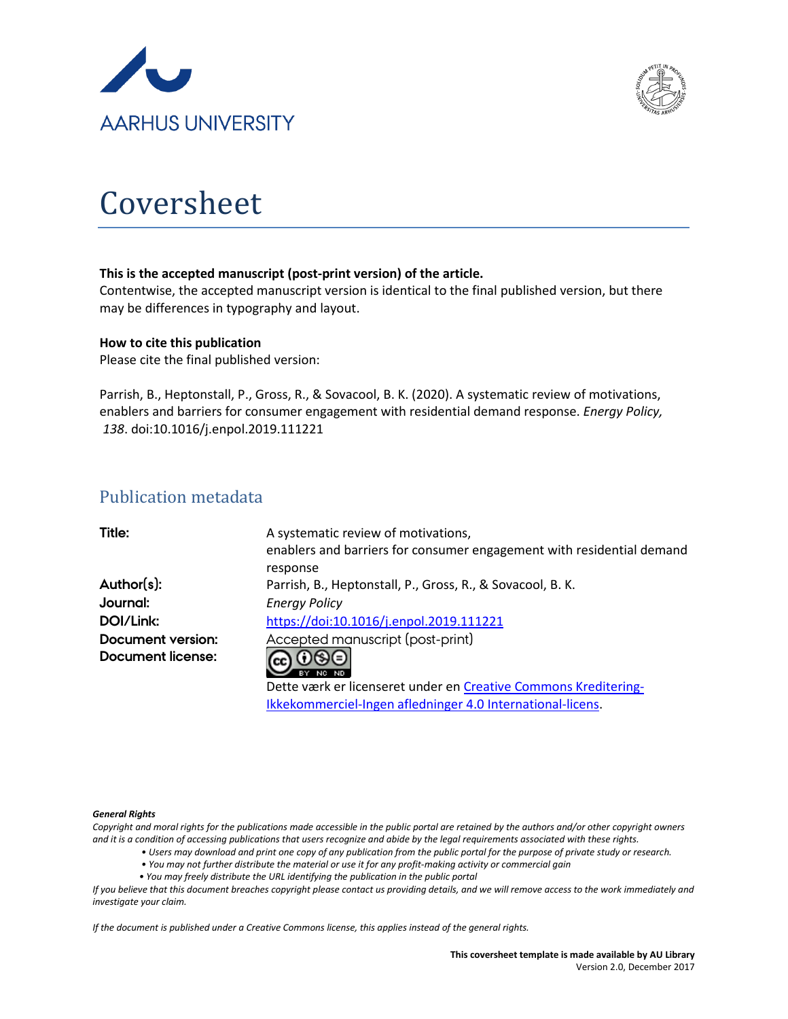



# Coversheet

#### **This is the accepted manuscript (post-print version) of the article.**

Contentwise, the accepted manuscript version is identical to the final published version, but there may be differences in typography and layout.

#### **How to cite this publication**

Please cite the final published version:

Parrish, B., Heptonstall, P., Gross, R., & Sovacool, B. K. (2020). A systematic review of motivations, enablers and barriers for consumer engagement with residential demand response. *Energy Policy, 138*. doi:10.1016/j.enpol.2019.111221

# Publication metadata

| Title:            | A systematic review of motivations,                                   |
|-------------------|-----------------------------------------------------------------------|
|                   | enablers and barriers for consumer engagement with residential demand |
|                   | response                                                              |
| Author(s):        | Parrish, B., Heptonstall, P., Gross, R., & Sovacool, B. K.            |
| Journal:          | <b>Energy Policy</b>                                                  |
| DOI/Link:         | https://doi:10.1016/j.enpol.2019.111221                               |
| Document version: | Accepted manuscript (post-print)                                      |
| Document license: | $0$ 90                                                                |
|                   | RV                                                                    |
|                   | Dette værk er licenseret under en Creative Commons Kreditering-       |
|                   | Ikkekommerciel-Ingen afledninger 4.0 International-licens.            |

#### *General Rights*

*Copyright and moral rights for the publications made accessible in the public portal are retained by the authors and/or other copyright owners and it is a condition of accessing publications that users recognize and abide by the legal requirements associated with these rights.*

- *Users may download and print one copy of any publication from the public portal for the purpose of private study or research.*
- *You may not further distribute the material or use it for any profit-making activity or commercial gain*
- *You may freely distribute the URL identifying the publication in the public portal*

*If you believe that this document breaches copyright please contact us providing details, and we will remove access to the work immediately and investigate your claim.*

*If the document is published under a Creative Commons license, this applies instead of the general rights.*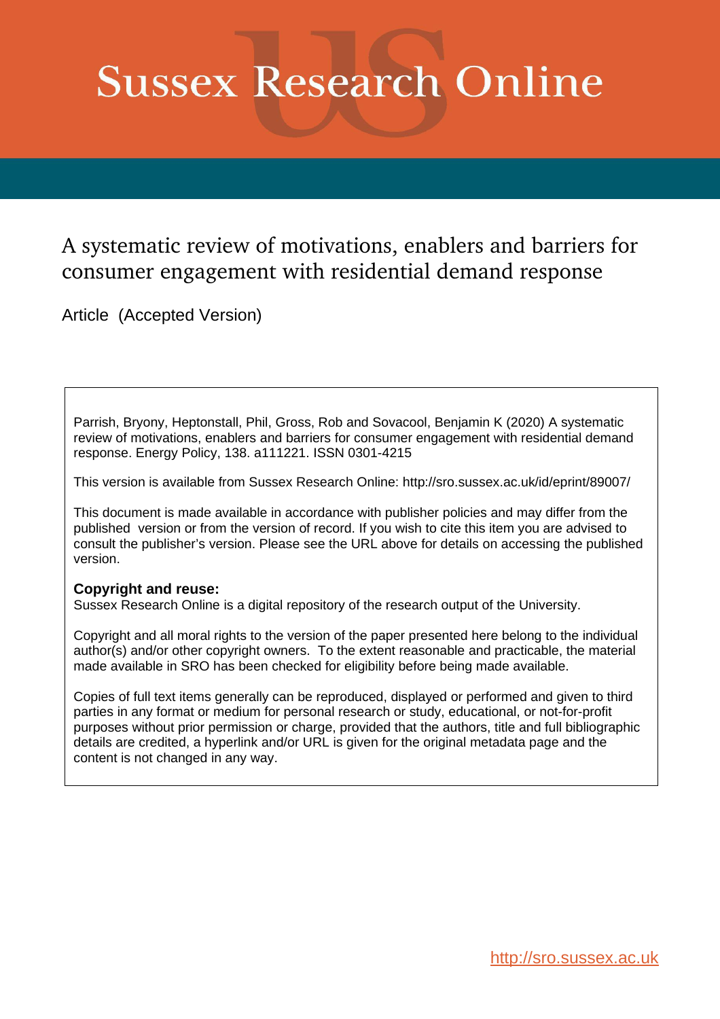# **Sussex Research Online**

# A systematic review of motivations, enablers and barriers for consumer engagement with residential demand response

Article (Accepted Version)

Parrish, Bryony, Heptonstall, Phil, Gross, Rob and Sovacool, Benjamin K (2020) A systematic review of motivations, enablers and barriers for consumer engagement with residential demand response. Energy Policy, 138. a111221. ISSN 0301-4215

This version is available from Sussex Research Online: http://sro.sussex.ac.uk/id/eprint/89007/

This document is made available in accordance with publisher policies and may differ from the published version or from the version of record. If you wish to cite this item you are advised to consult the publisher's version. Please see the URL above for details on accessing the published version.

# **Copyright and reuse:**

Sussex Research Online is a digital repository of the research output of the University.

Copyright and all moral rights to the version of the paper presented here belong to the individual author(s) and/or other copyright owners. To the extent reasonable and practicable, the material made available in SRO has been checked for eligibility before being made available.

Copies of full text items generally can be reproduced, displayed or performed and given to third parties in any format or medium for personal research or study, educational, or not-for-profit purposes without prior permission or charge, provided that the authors, title and full bibliographic details are credited, a hyperlink and/or URL is given for the original metadata page and the content is not changed in any way.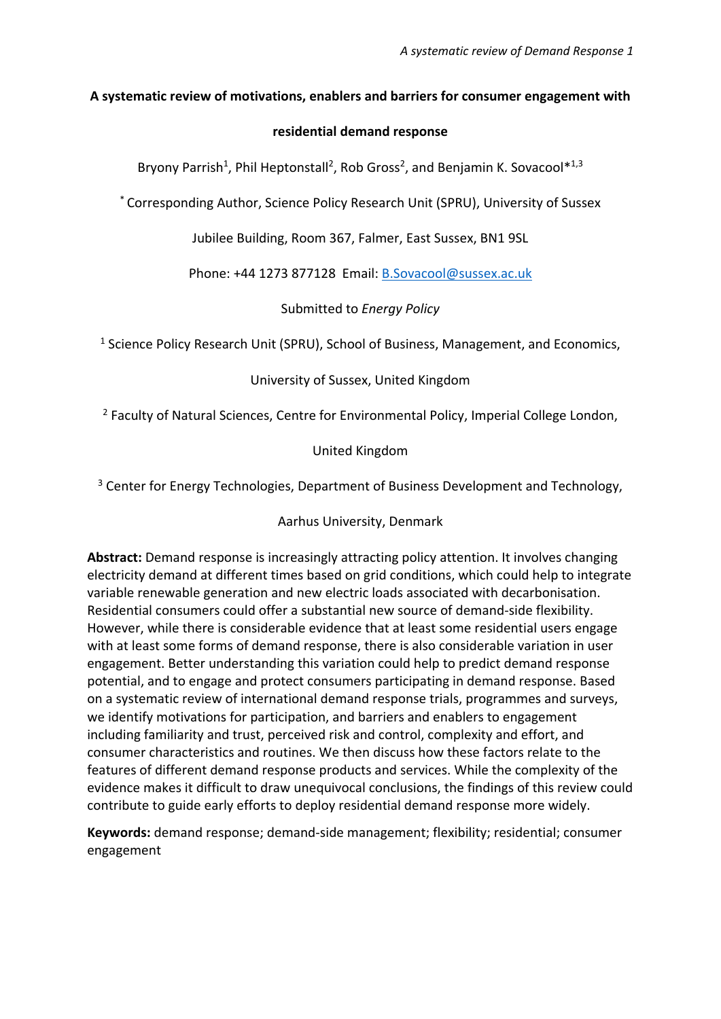## **A systematic review of motivations, enablers and barriers for consumer engagement with**

### **residential demand response**

Bryony Parrish<sup>1</sup>, Phil Heptonstall<sup>2</sup>, Rob Gross<sup>2</sup>, and Benjamin K. Sovacool<sup>\*1,3</sup>

\* Corresponding Author, Science Policy Research Unit (SPRU), University of Sussex

Jubilee Building, Room 367, Falmer, East Sussex, BN1 9SL

Phone: +44 1273 877128 Email: [B.Sovacool@sussex.ac.uk](mailto:B.Sovacool@sussex.ac.uk)

Submitted to *Energy Policy* 

<sup>1</sup> Science Policy Research Unit (SPRU), School of Business, Management, and Economics,

# University of Sussex, United Kingdom

<sup>2</sup> Faculty of Natural Sciences, Centre for Environmental Policy, Imperial College London,

# United Kingdom

<sup>3</sup> Center for Energy Technologies, Department of Business Development and Technology,

# Aarhus University, Denmark

**Abstract:** Demand response is increasingly attracting policy attention. It involves changing electricity demand at different times based on grid conditions, which could help to integrate variable renewable generation and new electric loads associated with decarbonisation. Residential consumers could offer a substantial new source of demand-side flexibility. However, while there is considerable evidence that at least some residential users engage with at least some forms of demand response, there is also considerable variation in user engagement. Better understanding this variation could help to predict demand response potential, and to engage and protect consumers participating in demand response. Based on a systematic review of international demand response trials, programmes and surveys, we identify motivations for participation, and barriers and enablers to engagement including familiarity and trust, perceived risk and control, complexity and effort, and consumer characteristics and routines. We then discuss how these factors relate to the features of different demand response products and services. While the complexity of the evidence makes it difficult to draw unequivocal conclusions, the findings of this review could contribute to guide early efforts to deploy residential demand response more widely.

**Keywords:** demand response; demand-side management; flexibility; residential; consumer engagement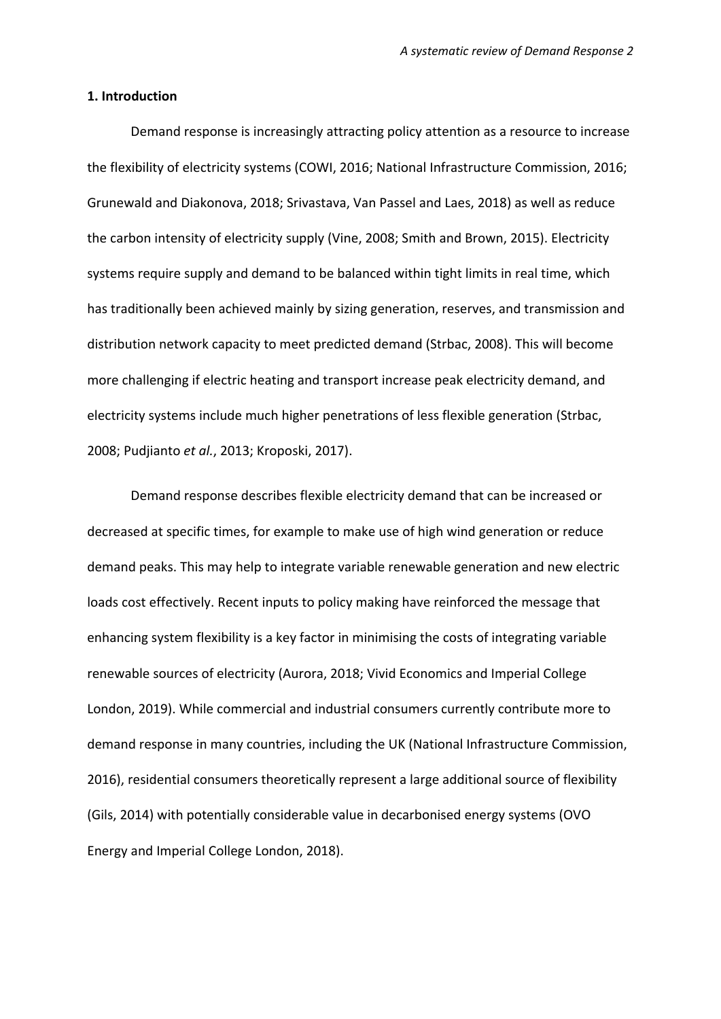#### **1. Introduction**

Demand response is increasingly attracting policy attention as a resource to increase the flexibility of electricity systems (COWI, 2016; National Infrastructure Commission, 2016; Grunewald and Diakonova, 2018; Srivastava, Van Passel and Laes, 2018) as well as reduce the carbon intensity of electricity supply (Vine, 2008; Smith and Brown, 2015). Electricity systems require supply and demand to be balanced within tight limits in real time, which has traditionally been achieved mainly by sizing generation, reserves, and transmission and distribution network capacity to meet predicted demand (Strbac, 2008). This will become more challenging if electric heating and transport increase peak electricity demand, and electricity systems include much higher penetrations of less flexible generation (Strbac, 2008; Pudjianto *et al.*, 2013; Kroposki, 2017).

Demand response describes flexible electricity demand that can be increased or decreased at specific times, for example to make use of high wind generation or reduce demand peaks. This may help to integrate variable renewable generation and new electric loads cost effectively. Recent inputs to policy making have reinforced the message that enhancing system flexibility is a key factor in minimising the costs of integrating variable renewable sources of electricity (Aurora, 2018; Vivid Economics and Imperial College London, 2019). While commercial and industrial consumers currently contribute more to demand response in many countries, including the UK (National Infrastructure Commission, 2016), residential consumers theoretically represent a large additional source of flexibility (Gils, 2014) with potentially considerable value in decarbonised energy systems (OVO Energy and Imperial College London, 2018).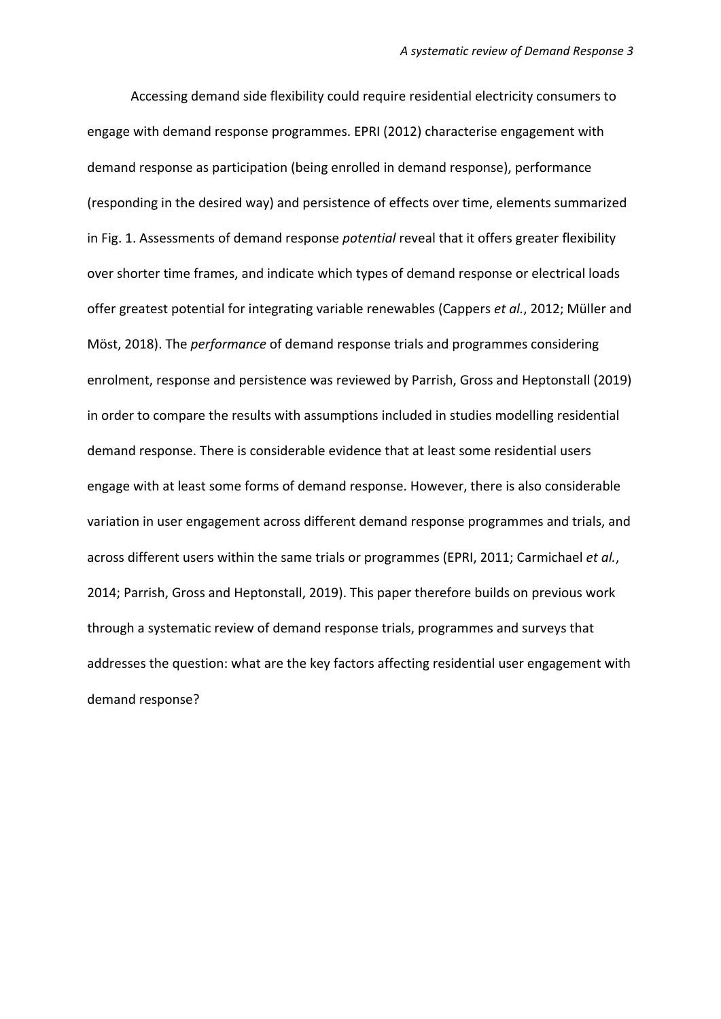Accessing demand side flexibility could require residential electricity consumers to engage with demand response programmes. EPRI (2012) characterise engagement with demand response as participation (being enrolled in demand response), performance (responding in the desired way) and persistence of effects over time, elements summarized in Fig. 1. Assessments of demand response *potential* reveal that it offers greater flexibility over shorter time frames, and indicate which types of demand response or electrical loads offer greatest potential for integrating variable renewables (Cappers *et al.*, 2012; Müller and Möst, 2018). The *performance* of demand response trials and programmes considering enrolment, response and persistence was reviewed by Parrish, Gross and Heptonstall (2019) in order to compare the results with assumptions included in studies modelling residential demand response. There is considerable evidence that at least some residential users engage with at least some forms of demand response. However, there is also considerable variation in user engagement across different demand response programmes and trials, and across different users within the same trials or programmes (EPRI, 2011; Carmichael *et al.*, 2014; Parrish, Gross and Heptonstall, 2019). This paper therefore builds on previous work through a systematic review of demand response trials, programmes and surveys that addresses the question: what are the key factors affecting residential user engagement with demand response?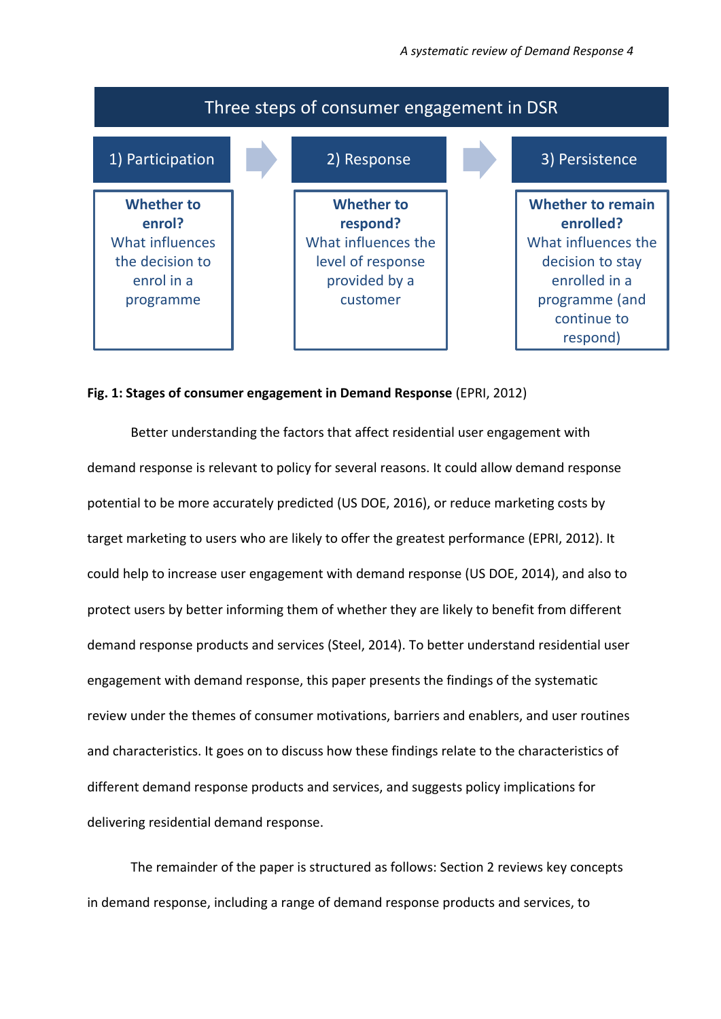

#### **Fig. 1: Stages of consumer engagement in Demand Response** (EPRI, 2012)

Better understanding the factors that affect residential user engagement with demand response is relevant to policy for several reasons. It could allow demand response potential to be more accurately predicted (US DOE, 2016), or reduce marketing costs by target marketing to users who are likely to offer the greatest performance (EPRI, 2012). It could help to increase user engagement with demand response (US DOE, 2014), and also to protect users by better informing them of whether they are likely to benefit from different demand response products and services (Steel, 2014). To better understand residential user engagement with demand response, this paper presents the findings of the systematic review under the themes of consumer motivations, barriers and enablers, and user routines and characteristics. It goes on to discuss how these findings relate to the characteristics of different demand response products and services, and suggests policy implications for delivering residential demand response.

The remainder of the paper is structured as follows: Section 2 reviews key concepts in demand response, including a range of demand response products and services, to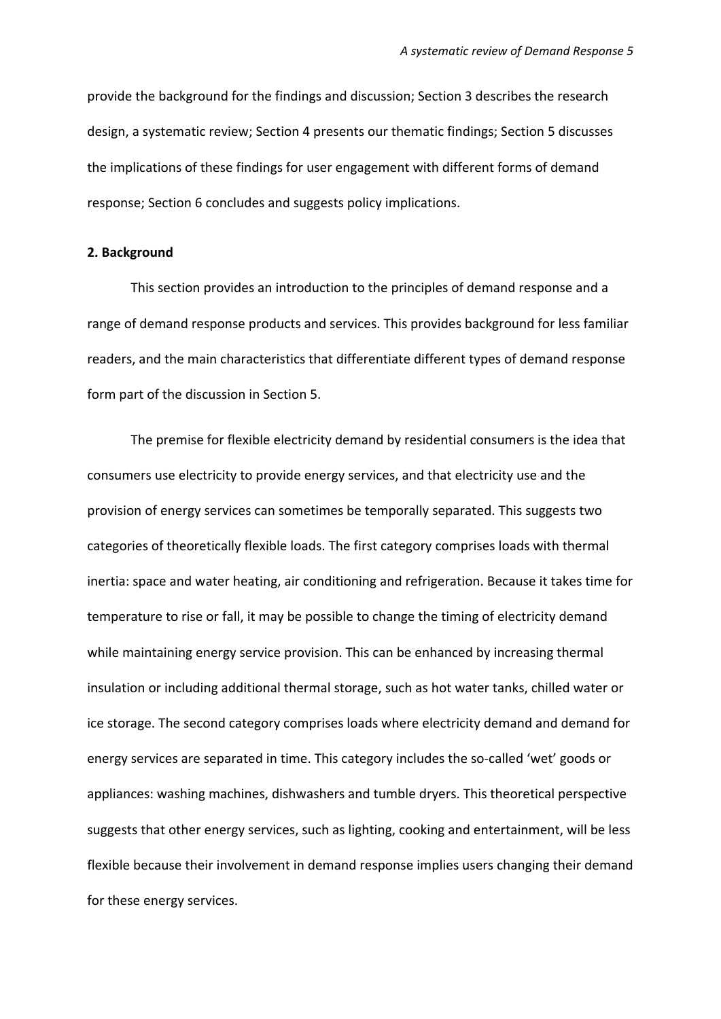provide the background for the findings and discussion; Section 3 describes the research design, a systematic review; Section 4 presents our thematic findings; Section 5 discusses the implications of these findings for user engagement with different forms of demand response; Section 6 concludes and suggests policy implications.

#### **2. Background**

This section provides an introduction to the principles of demand response and a range of demand response products and services. This provides background for less familiar readers, and the main characteristics that differentiate different types of demand response form part of the discussion in Section 5.

The premise for flexible electricity demand by residential consumers is the idea that consumers use electricity to provide energy services, and that electricity use and the provision of energy services can sometimes be temporally separated. This suggests two categories of theoretically flexible loads. The first category comprises loads with thermal inertia: space and water heating, air conditioning and refrigeration. Because it takes time for temperature to rise or fall, it may be possible to change the timing of electricity demand while maintaining energy service provision. This can be enhanced by increasing thermal insulation or including additional thermal storage, such as hot water tanks, chilled water or ice storage. The second category comprises loads where electricity demand and demand for energy services are separated in time. This category includes the so-called 'wet' goods or appliances: washing machines, dishwashers and tumble dryers. This theoretical perspective suggests that other energy services, such as lighting, cooking and entertainment, will be less flexible because their involvement in demand response implies users changing their demand for these energy services.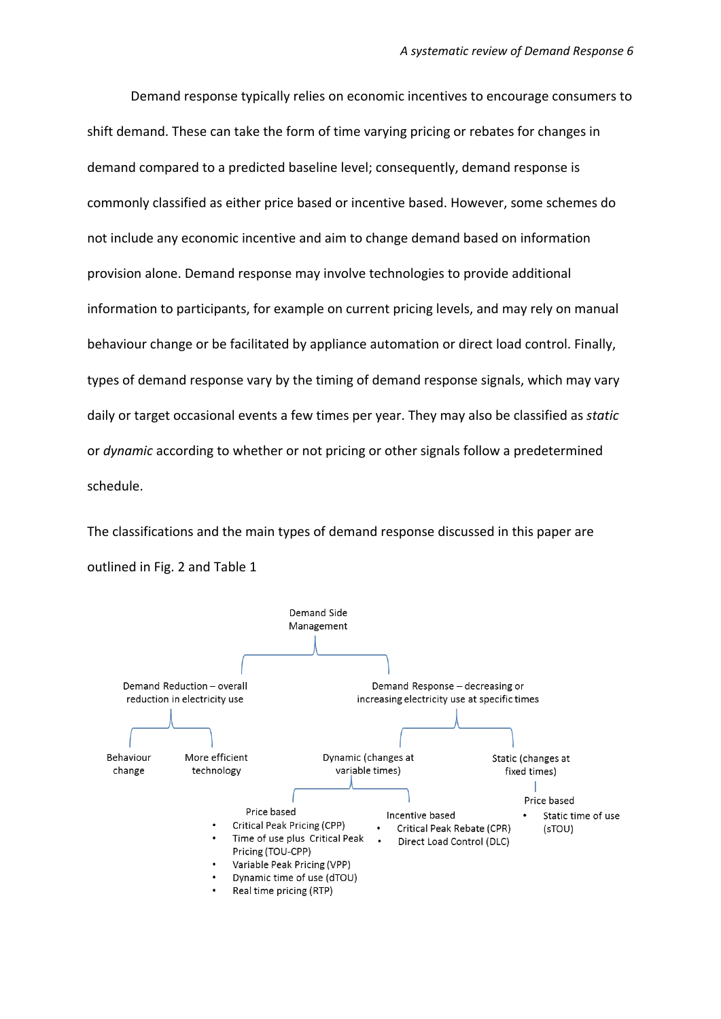Demand response typically relies on economic incentives to encourage consumers to shift demand. These can take the form of time varying pricing or rebates for changes in demand compared to a predicted baseline level; consequently, demand response is commonly classified as either price based or incentive based. However, some schemes do not include any economic incentive and aim to change demand based on information provision alone. Demand response may involve technologies to provide additional information to participants, for example on current pricing levels, and may rely on manual behaviour change or be facilitated by appliance automation or direct load control. Finally, types of demand response vary by the timing of demand response signals, which may vary daily or target occasional events a few times per year. They may also be classified as *static*  or *dynamic* according to whether or not pricing or other signals follow a predetermined schedule.

The classifications and the main types of demand response discussed in this paper are outlined in Fig. 2 and Table 1

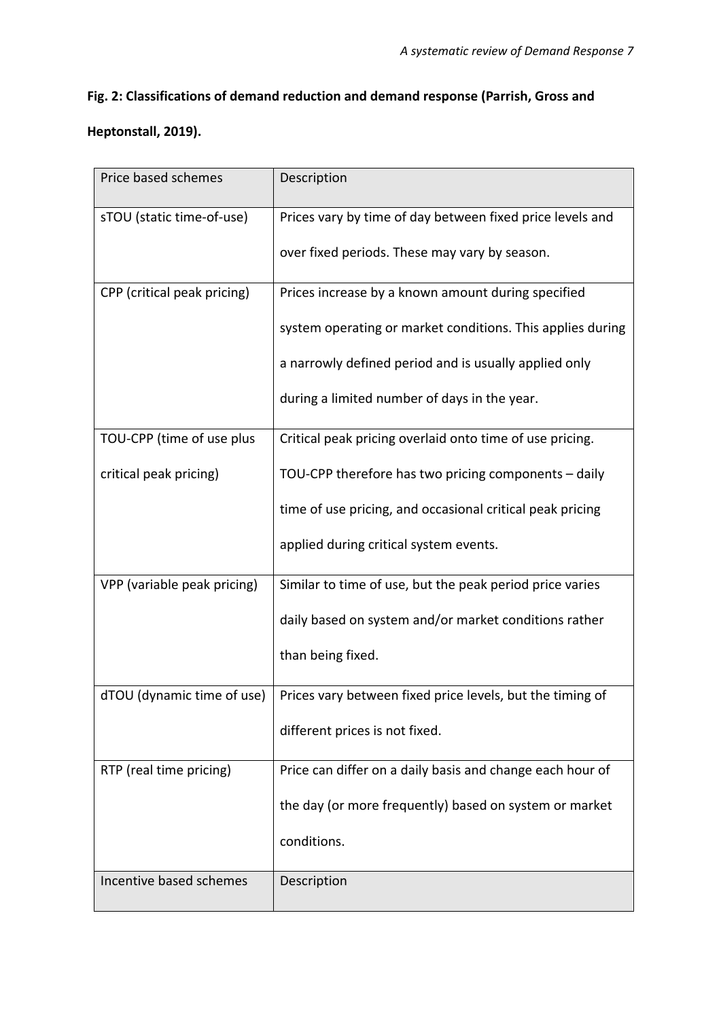# **Fig. 2: Classifications of demand reduction and demand response (Parrish, Gross and**

# **Heptonstall, 2019).**

| Price based schemes         | Description                                                |
|-----------------------------|------------------------------------------------------------|
| sTOU (static time-of-use)   | Prices vary by time of day between fixed price levels and  |
|                             | over fixed periods. These may vary by season.              |
| CPP (critical peak pricing) | Prices increase by a known amount during specified         |
|                             | system operating or market conditions. This applies during |
|                             | a narrowly defined period and is usually applied only      |
|                             | during a limited number of days in the year.               |
| TOU-CPP (time of use plus   | Critical peak pricing overlaid onto time of use pricing.   |
| critical peak pricing)      | TOU-CPP therefore has two pricing components - daily       |
|                             | time of use pricing, and occasional critical peak pricing  |
|                             | applied during critical system events.                     |
| VPP (variable peak pricing) | Similar to time of use, but the peak period price varies   |
|                             | daily based on system and/or market conditions rather      |
|                             | than being fixed.                                          |
| dTOU (dynamic time of use)  | Prices vary between fixed price levels, but the timing of  |
|                             | different prices is not fixed.                             |
| RTP (real time pricing)     | Price can differ on a daily basis and change each hour of  |
|                             | the day (or more frequently) based on system or market     |
|                             | conditions.                                                |
| Incentive based schemes     | Description                                                |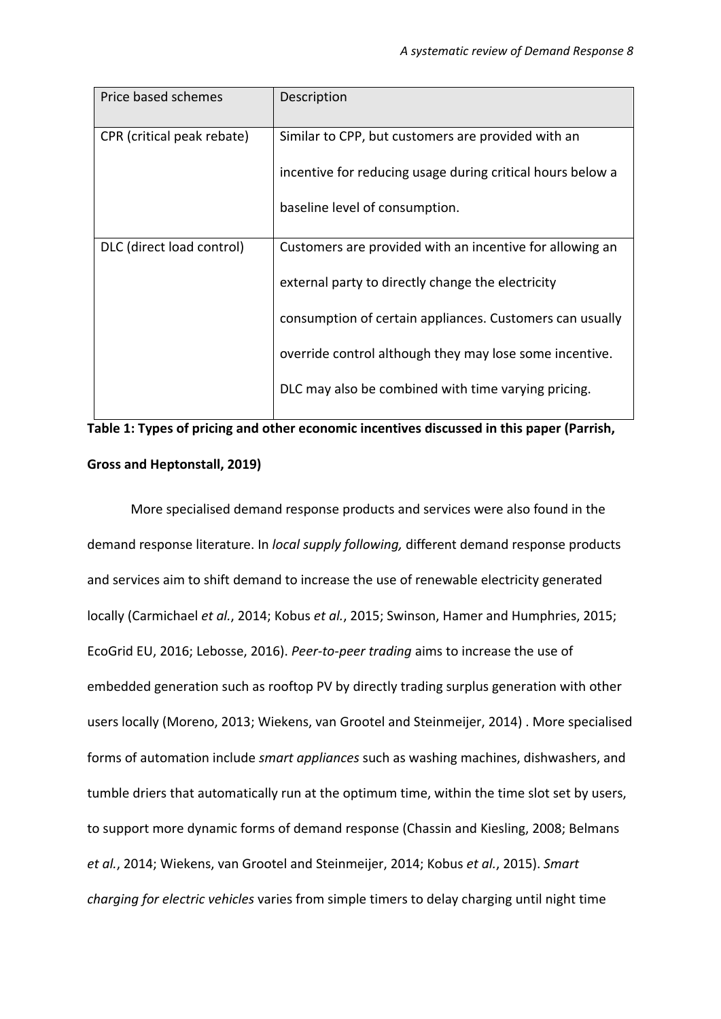| Price based schemes        | Description                                                |
|----------------------------|------------------------------------------------------------|
| CPR (critical peak rebate) | Similar to CPP, but customers are provided with an         |
|                            | incentive for reducing usage during critical hours below a |
|                            | baseline level of consumption.                             |
| DLC (direct load control)  | Customers are provided with an incentive for allowing an   |
|                            | external party to directly change the electricity          |
|                            | consumption of certain appliances. Customers can usually   |
|                            | override control although they may lose some incentive.    |
|                            | DLC may also be combined with time varying pricing.        |
|                            |                                                            |

**Table 1: Types of pricing and other economic incentives discussed in this paper (Parrish, Gross and Heptonstall, 2019)**

More specialised demand response products and services were also found in the demand response literature. In *local supply following,* different demand response products and services aim to shift demand to increase the use of renewable electricity generated locally (Carmichael *et al.*, 2014; Kobus *et al.*, 2015; Swinson, Hamer and Humphries, 2015; EcoGrid EU, 2016; Lebosse, 2016). *Peer-to-peer trading* aims to increase the use of embedded generation such as rooftop PV by directly trading surplus generation with other users locally (Moreno, 2013; Wiekens, van Grootel and Steinmeijer, 2014) . More specialised forms of automation include *smart appliances* such as washing machines, dishwashers, and tumble driers that automatically run at the optimum time, within the time slot set by users, to support more dynamic forms of demand response (Chassin and Kiesling, 2008; Belmans *et al.*, 2014; Wiekens, van Grootel and Steinmeijer, 2014; Kobus *et al.*, 2015). *Smart charging for electric vehicles* varies from simple timers to delay charging until night time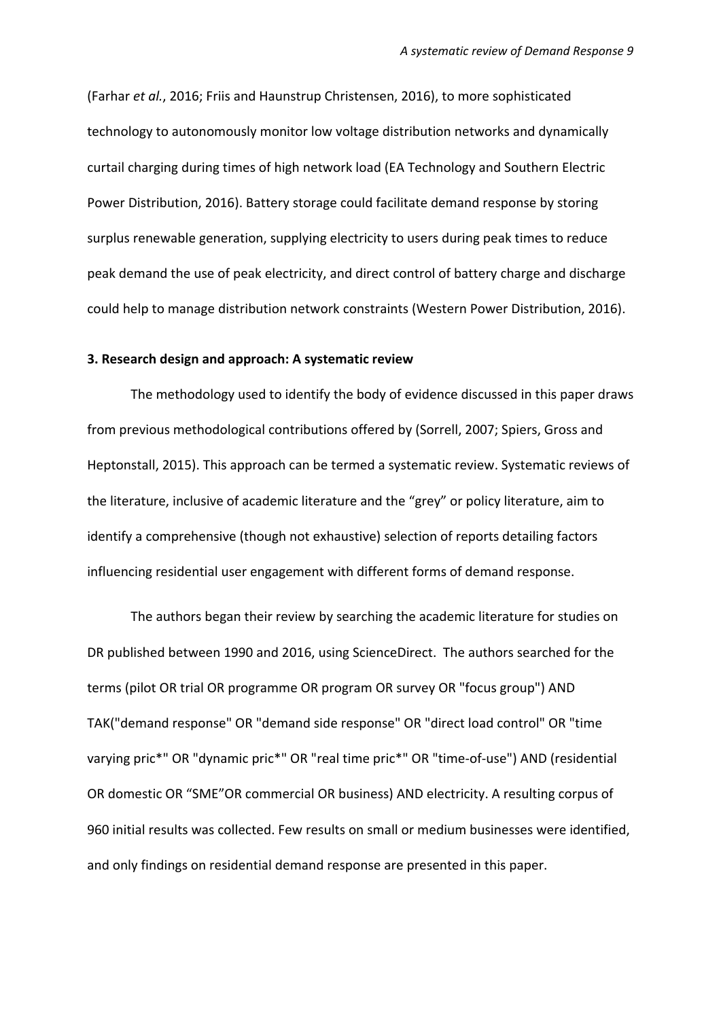(Farhar *et al.*, 2016; Friis and Haunstrup Christensen, 2016), to more sophisticated technology to autonomously monitor low voltage distribution networks and dynamically curtail charging during times of high network load (EA Technology and Southern Electric Power Distribution, 2016). Battery storage could facilitate demand response by storing surplus renewable generation, supplying electricity to users during peak times to reduce peak demand the use of peak electricity, and direct control of battery charge and discharge could help to manage distribution network constraints (Western Power Distribution, 2016).

#### **3. Research design and approach: A systematic review**

The methodology used to identify the body of evidence discussed in this paper draws from previous methodological contributions offered by (Sorrell, 2007; Spiers, Gross and Heptonstall, 2015). This approach can be termed a systematic review. Systematic reviews of the literature, inclusive of academic literature and the "grey" or policy literature, aim to identify a comprehensive (though not exhaustive) selection of reports detailing factors influencing residential user engagement with different forms of demand response.

The authors began their review by searching the academic literature for studies on DR published between 1990 and 2016, using ScienceDirect. The authors searched for the terms (pilot OR trial OR programme OR program OR survey OR "focus group") AND TAK("demand response" OR "demand side response" OR "direct load control" OR "time varying pric\*" OR "dynamic pric\*" OR "real time pric\*" OR "time-of-use") AND (residential OR domestic OR "SME"OR commercial OR business) AND electricity. A resulting corpus of 960 initial results was collected. Few results on small or medium businesses were identified, and only findings on residential demand response are presented in this paper.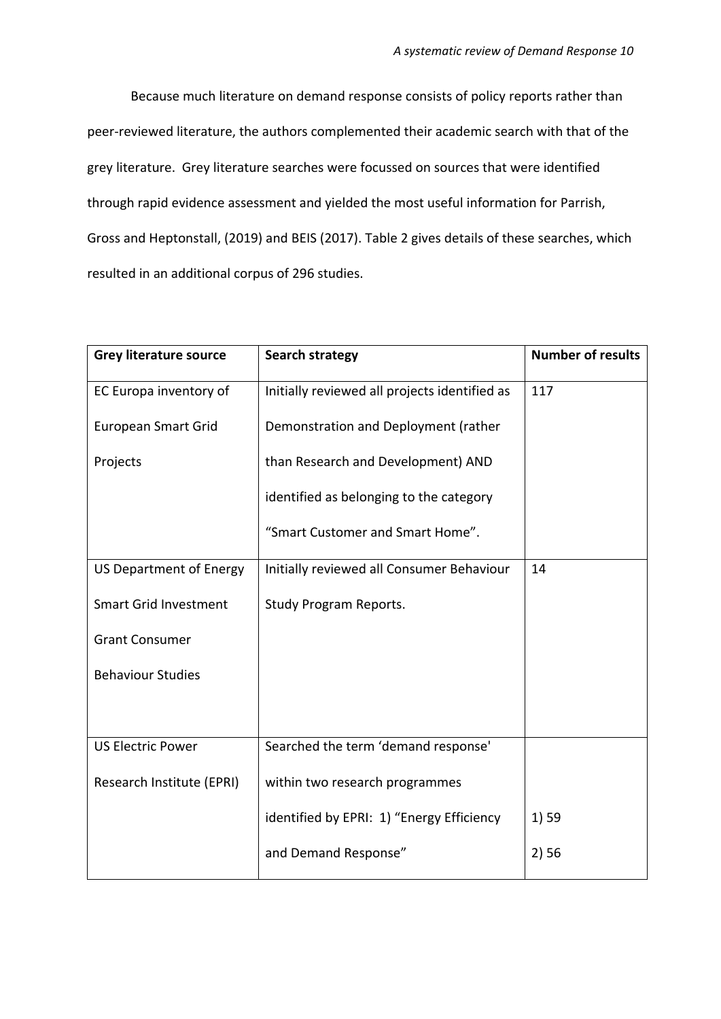Because much literature on demand response consists of policy reports rather than peer-reviewed literature, the authors complemented their academic search with that of the grey literature. Grey literature searches were focussed on sources that were identified through rapid evidence assessment and yielded the most useful information for Parrish, Gross and Heptonstall, (2019) and BEIS (2017). Table 2 gives details of these searches, which resulted in an additional corpus of 296 studies.

| <b>Grey literature source</b>  | <b>Search strategy</b>                        | <b>Number of results</b> |
|--------------------------------|-----------------------------------------------|--------------------------|
| EC Europa inventory of         | Initially reviewed all projects identified as | 117                      |
| <b>European Smart Grid</b>     | Demonstration and Deployment (rather          |                          |
| Projects                       | than Research and Development) AND            |                          |
|                                | identified as belonging to the category       |                          |
|                                | "Smart Customer and Smart Home".              |                          |
| <b>US Department of Energy</b> | Initially reviewed all Consumer Behaviour     | 14                       |
| <b>Smart Grid Investment</b>   | <b>Study Program Reports.</b>                 |                          |
| <b>Grant Consumer</b>          |                                               |                          |
| <b>Behaviour Studies</b>       |                                               |                          |
|                                |                                               |                          |
| <b>US Electric Power</b>       | Searched the term 'demand response'           |                          |
| Research Institute (EPRI)      | within two research programmes                |                          |
|                                | identified by EPRI: 1) "Energy Efficiency     | 1) 59                    |
|                                | and Demand Response"                          | 2)56                     |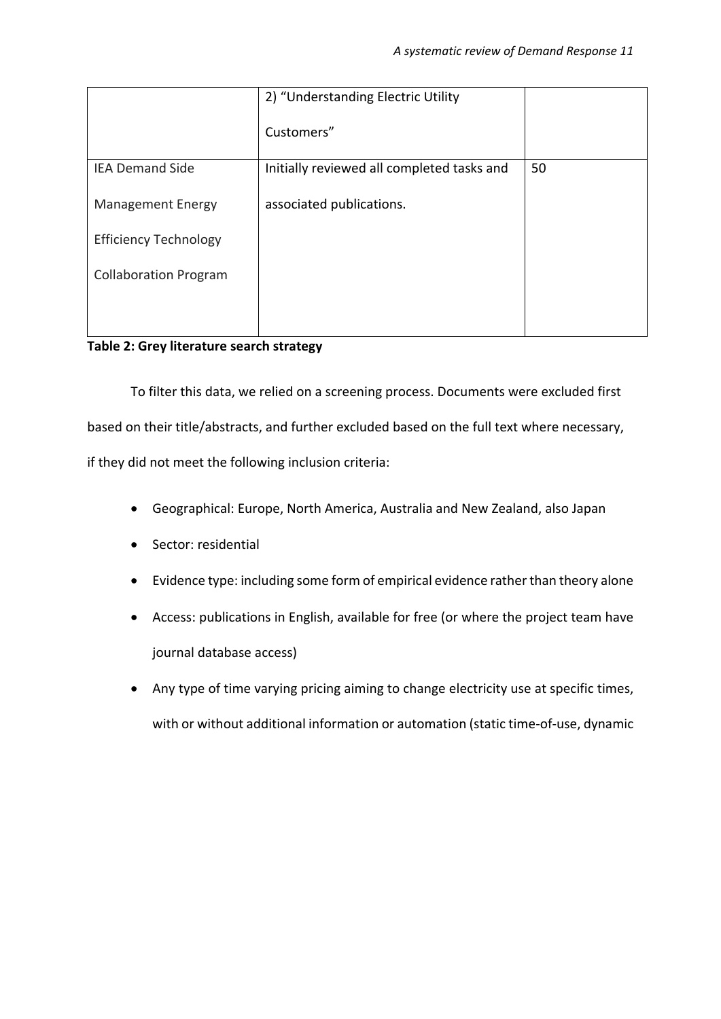|                              | 2) "Understanding Electric Utility         |    |
|------------------------------|--------------------------------------------|----|
|                              | Customers"                                 |    |
| <b>IEA Demand Side</b>       | Initially reviewed all completed tasks and | 50 |
| <b>Management Energy</b>     | associated publications.                   |    |
| <b>Efficiency Technology</b> |                                            |    |
| <b>Collaboration Program</b> |                                            |    |
|                              |                                            |    |

# **Table 2: Grey literature search strategy**

To filter this data, we relied on a screening process. Documents were excluded first based on their title/abstracts, and further excluded based on the full text where necessary, if they did not meet the following inclusion criteria:

- Geographical: Europe, North America, Australia and New Zealand, also Japan
- Sector: residential
- Evidence type: including some form of empirical evidence rather than theory alone
- Access: publications in English, available for free (or where the project team have journal database access)
- Any type of time varying pricing aiming to change electricity use at specific times, with or without additional information or automation (static time-of-use, dynamic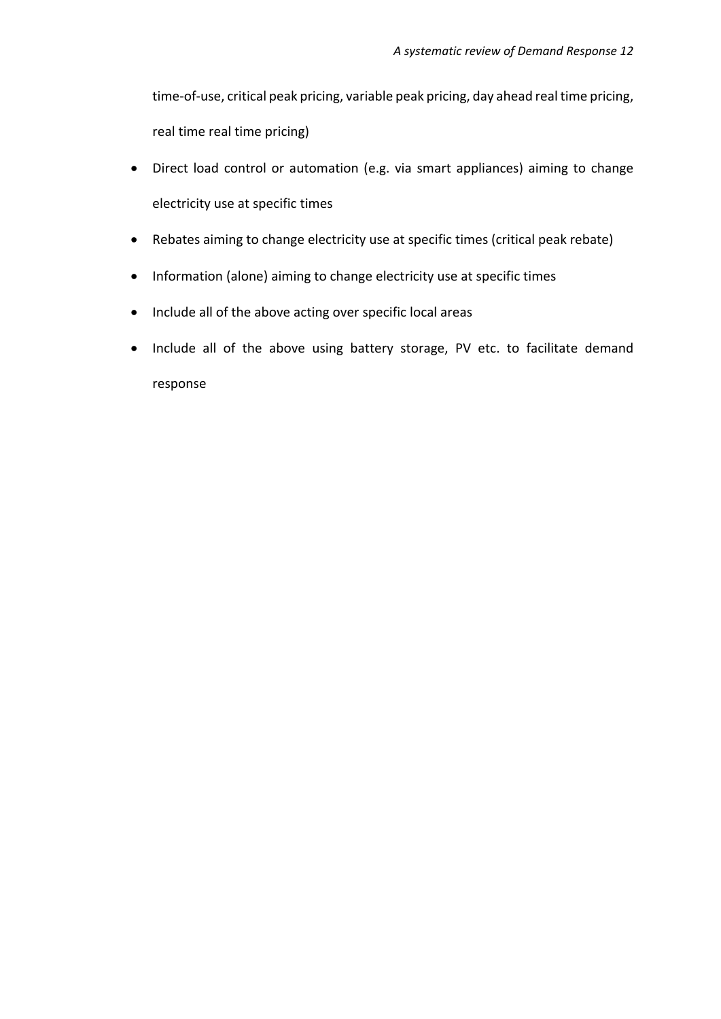time-of-use, critical peak pricing, variable peak pricing, day ahead real time pricing, real time real time pricing)

- Direct load control or automation (e.g. via smart appliances) aiming to change electricity use at specific times
- Rebates aiming to change electricity use at specific times (critical peak rebate)
- Information (alone) aiming to change electricity use at specific times
- Include all of the above acting over specific local areas
- Include all of the above using battery storage, PV etc. to facilitate demand response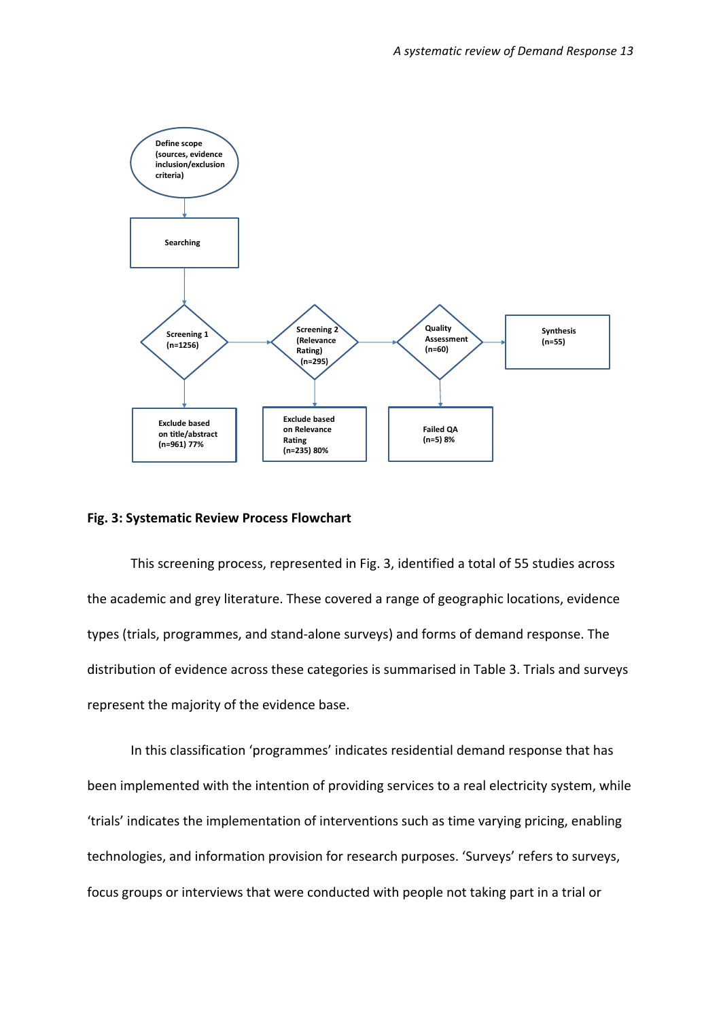

#### **Fig. 3: Systematic Review Process Flowchart**

This screening process, represented in Fig. 3, identified a total of 55 studies across the academic and grey literature. These covered a range of geographic locations, evidence types (trials, programmes, and stand-alone surveys) and forms of demand response. The distribution of evidence across these categories is summarised in Table 3. Trials and surveys represent the majority of the evidence base.

In this classification 'programmes' indicates residential demand response that has been implemented with the intention of providing services to a real electricity system, while 'trials' indicates the implementation of interventions such as time varying pricing, enabling technologies, and information provision for research purposes. 'Surveys' refers to surveys, focus groups or interviews that were conducted with people not taking part in a trial or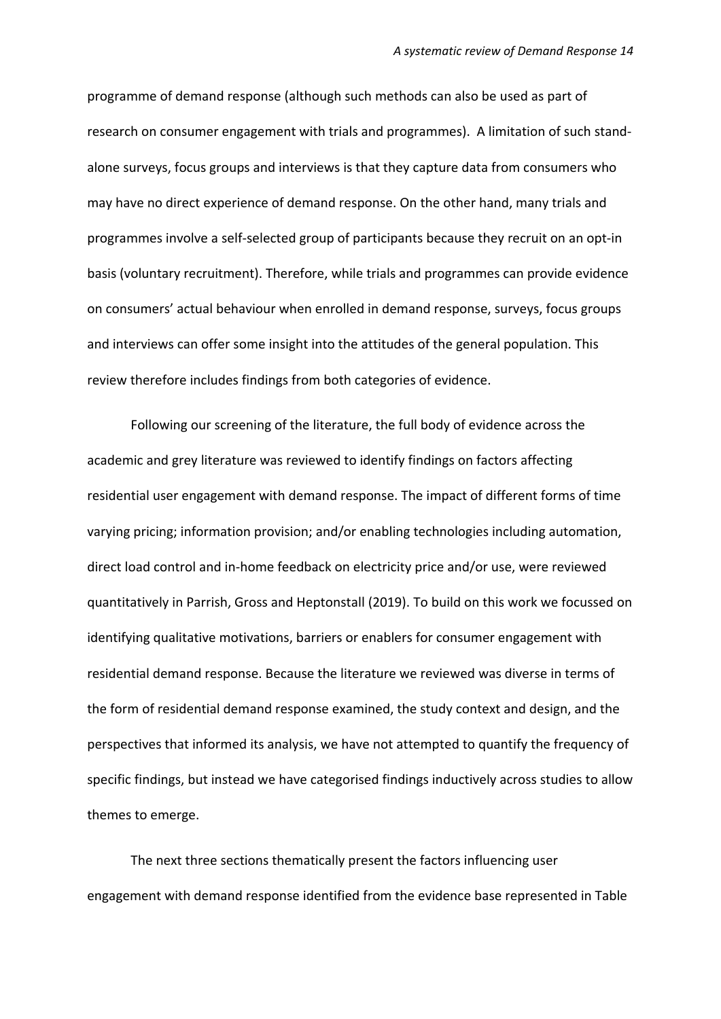programme of demand response (although such methods can also be used as part of research on consumer engagement with trials and programmes). A limitation of such standalone surveys, focus groups and interviews is that they capture data from consumers who may have no direct experience of demand response. On the other hand, many trials and programmes involve a self-selected group of participants because they recruit on an opt-in basis (voluntary recruitment). Therefore, while trials and programmes can provide evidence on consumers' actual behaviour when enrolled in demand response, surveys, focus groups and interviews can offer some insight into the attitudes of the general population. This review therefore includes findings from both categories of evidence.

Following our screening of the literature, the full body of evidence across the academic and grey literature was reviewed to identify findings on factors affecting residential user engagement with demand response. The impact of different forms of time varying pricing; information provision; and/or enabling technologies including automation, direct load control and in-home feedback on electricity price and/or use, were reviewed quantitatively in Parrish, Gross and Heptonstall (2019). To build on this work we focussed on identifying qualitative motivations, barriers or enablers for consumer engagement with residential demand response. Because the literature we reviewed was diverse in terms of the form of residential demand response examined, the study context and design, and the perspectives that informed its analysis, we have not attempted to quantify the frequency of specific findings, but instead we have categorised findings inductively across studies to allow themes to emerge.

The next three sections thematically present the factors influencing user engagement with demand response identified from the evidence base represented in Table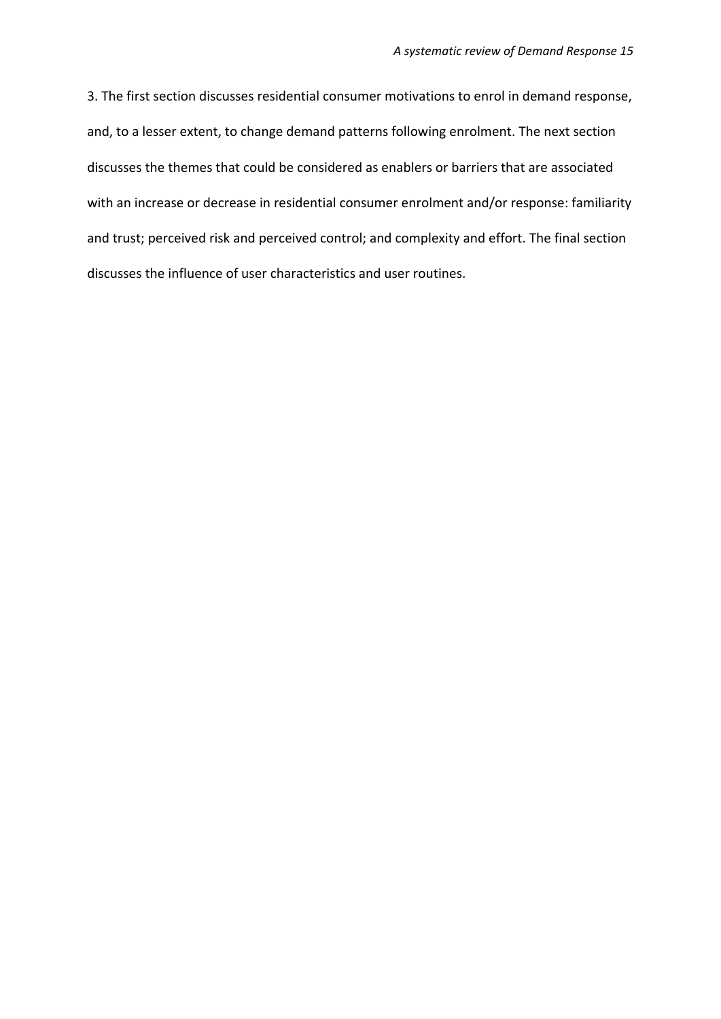3. The first section discusses residential consumer motivations to enrol in demand response, and, to a lesser extent, to change demand patterns following enrolment. The next section discusses the themes that could be considered as enablers or barriers that are associated with an increase or decrease in residential consumer enrolment and/or response: familiarity and trust; perceived risk and perceived control; and complexity and effort. The final section discusses the influence of user characteristics and user routines.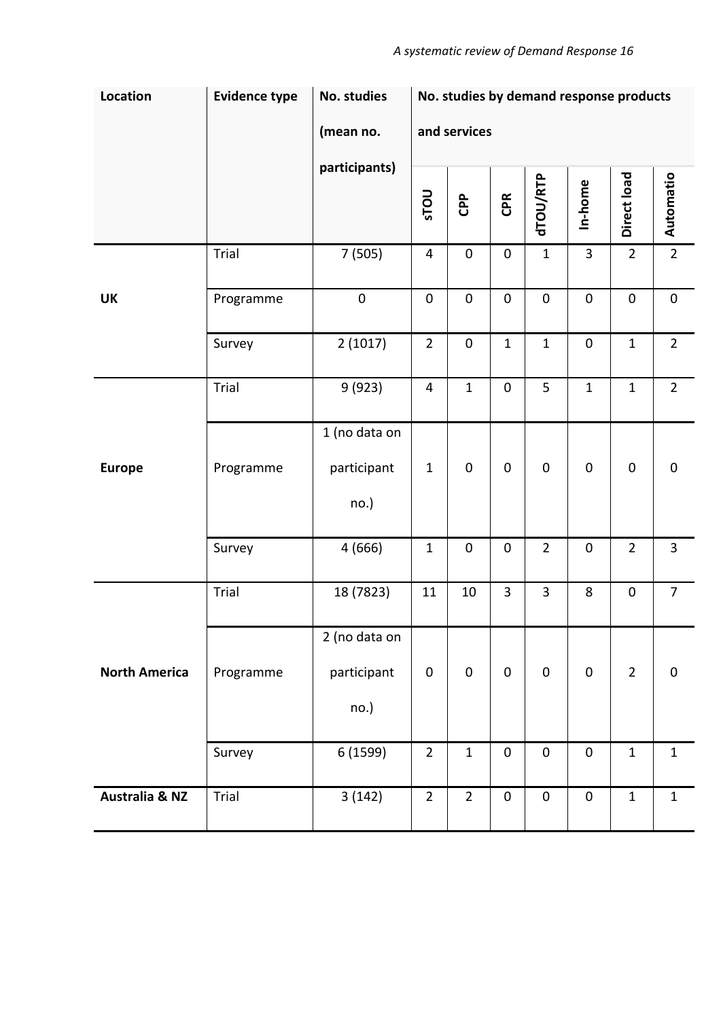| Location                  | <b>Evidence type</b><br>No. studies |                                      | No. studies by demand response products |                  |                |                     |                |                |                     |
|---------------------------|-------------------------------------|--------------------------------------|-----------------------------------------|------------------|----------------|---------------------|----------------|----------------|---------------------|
|                           |                                     | (mean no.                            |                                         | and services     |                |                     |                |                |                     |
|                           |                                     | participants)                        | <b>UOLS</b>                             | <b>CPP</b>       | CPR            | dTOU/RTP            | In-home        | Direct load    | Automatio           |
|                           | Trial                               | 7(505)                               | $\overline{4}$                          | $\boldsymbol{0}$ | $\pmb{0}$      | $\mathbf{1}$        | $\overline{3}$ | $\overline{2}$ | $\overline{2}$      |
| UK                        | Programme                           | $\pmb{0}$                            | $\pmb{0}$                               | $\pmb{0}$        | $\pmb{0}$      | $\pmb{0}$           | $\pmb{0}$      | $\pmb{0}$      | $\pmb{0}$           |
|                           | Survey                              | 2(1017)                              | $\overline{2}$                          | $\pmb{0}$        | $\mathbf{1}$   | $\mathbf 1$         | $\pmb{0}$      | $\mathbf{1}$   | $\overline{2}$      |
|                           | Trial                               | 9(923)                               | $\overline{\mathbf{4}}$                 | $\mathbf 1$      | $\pmb{0}$      | 5                   | $\mathbf 1$    | $\mathbf{1}$   | $\overline{2}$      |
| <b>Europe</b>             | Programme                           | 1 (no data on<br>participant<br>no.) | $\mathbf{1}$                            | $\pmb{0}$        | $\pmb{0}$      | $\mathsf{O}\xspace$ | $\pmb{0}$      | $\pmb{0}$      | $\mathsf{O}\xspace$ |
|                           | Survey                              | 4 (666)                              | $1\,$                                   | $\pmb{0}$        | $\pmb{0}$      | $\overline{2}$      | $\pmb{0}$      | $\overline{2}$ | $\overline{3}$      |
|                           | Trial                               | 18 (7823)                            | 11                                      | 10               | $\overline{3}$ | 3                   | 8              | $\pmb{0}$      | $\overline{7}$      |
| <b>North America</b>      | Programme                           | 2 (no data on<br>participant<br>no.) | $\mathbf 0$                             | $\mathbf 0$      | $\pmb{0}$      | $\pmb{0}$           | $\pmb{0}$      | $\overline{2}$ | $\mathbf 0$         |
|                           | Survey                              | 6 (1599)                             | $\overline{2}$                          | $\mathbf 1$      | $\pmb{0}$      | $\pmb{0}$           | $\pmb{0}$      | $\mathbf{1}$   | $\mathbf{1}$        |
| <b>Australia &amp; NZ</b> | Trial                               | 3(142)                               | $\overline{2}$                          | $\overline{2}$   | $\pmb{0}$      | $\pmb{0}$           | $\pmb{0}$      | $\mathbf{1}$   | $\mathbf{1}$        |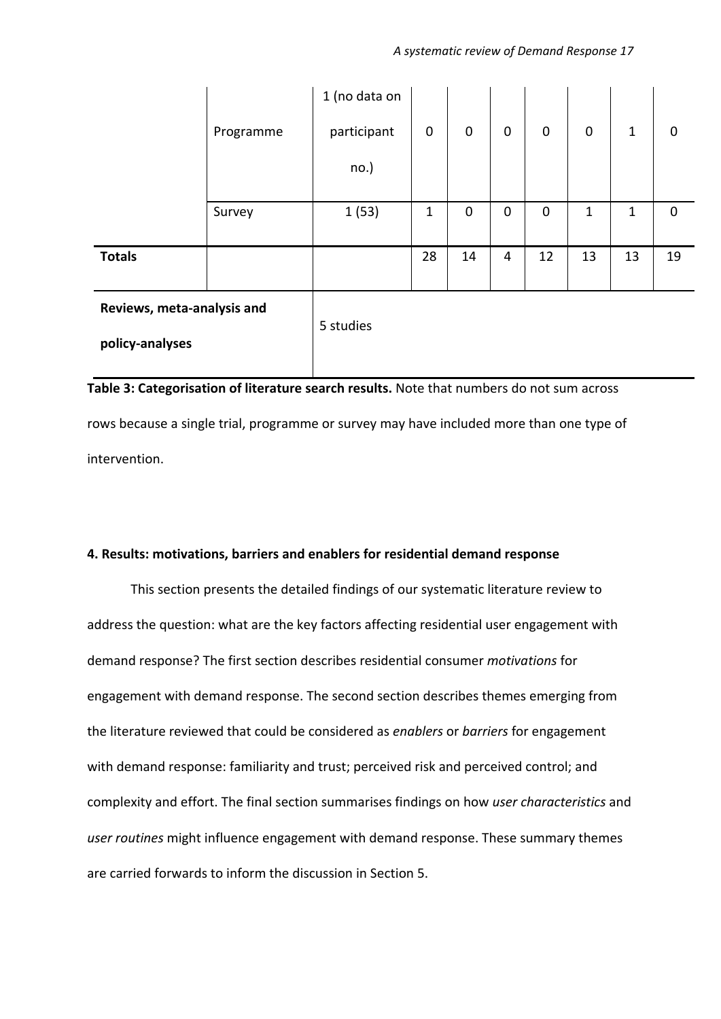|                                                                                           | Programme | 1 (no data on<br>participant | 0  | $\mathbf 0$ | $\mathbf 0$ | $\mathbf 0$ | $\mathbf 0$ | $\mathbf{1}$ | 0        |
|-------------------------------------------------------------------------------------------|-----------|------------------------------|----|-------------|-------------|-------------|-------------|--------------|----------|
|                                                                                           |           | no.)                         |    |             |             |             |             |              |          |
|                                                                                           | Survey    | 1(53)                        | 1  | $\mathbf 0$ | $\mathbf 0$ | $\mathbf 0$ | 1           | 1            | $\Omega$ |
| <b>Totals</b>                                                                             |           |                              | 28 | 14          | 4           | 12          | 13          | 13           | 19       |
| Reviews, meta-analysis and<br>policy-analyses                                             |           | 5 studies                    |    |             |             |             |             |              |          |
| Table 3: Categorisation of literature search results. Note that numbers do not sum across |           |                              |    |             |             |             |             |              |          |

rows because a single trial, programme or survey may have included more than one type of

intervention.

# **4. Results: motivations, barriers and enablers for residential demand response**

This section presents the detailed findings of our systematic literature review to address the question: what are the key factors affecting residential user engagement with demand response? The first section describes residential consumer *motivations* for engagement with demand response. The second section describes themes emerging from the literature reviewed that could be considered as *enablers* or *barriers* for engagement with demand response: familiarity and trust; perceived risk and perceived control; and complexity and effort. The final section summarises findings on how *user characteristics* and *user routines* might influence engagement with demand response. These summary themes are carried forwards to inform the discussion in Section 5.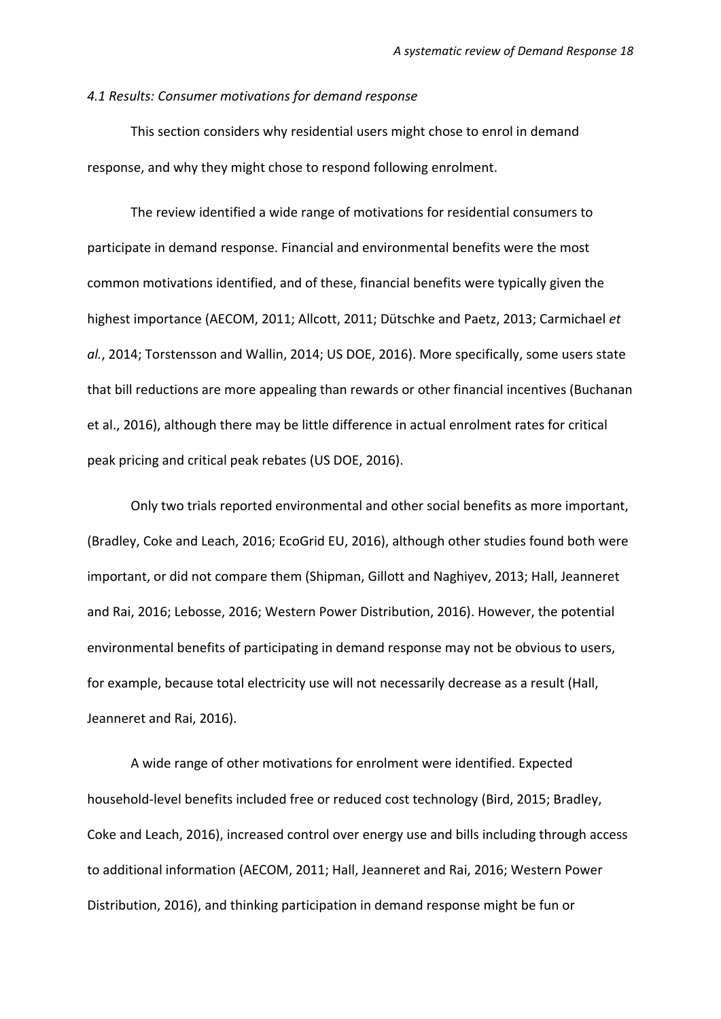#### *4.1 Results: Consumer motivations for demand response*

This section considers why residential users might chose to enrol in demand response, and why they might chose to respond following enrolment.

The review identified a wide range of motivations for residential consumers to participate in demand response. Financial and environmental benefits were the most common motivations identified, and of these, financial benefits were typically given the highest importance (AECOM, 2011; Allcott, 2011; Dütschke and Paetz, 2013; Carmichael *et al.*, 2014; Torstensson and Wallin, 2014; US DOE, 2016). More specifically, some users state that bill reductions are more appealing than rewards or other financial incentives (Buchanan et al., 2016), although there may be little difference in actual enrolment rates for critical peak pricing and critical peak rebates (US DOE, 2016).

Only two trials reported environmental and other social benefits as more important, (Bradley, Coke and Leach, 2016; EcoGrid EU, 2016), although other studies found both were important, or did not compare them (Shipman, Gillott and Naghiyev, 2013; Hall, Jeanneret and Rai, 2016; Lebosse, 2016; Western Power Distribution, 2016). However, the potential environmental benefits of participating in demand response may not be obvious to users, for example, because total electricity use will not necessarily decrease as a result (Hall, Jeanneret and Rai, 2016).

A wide range of other motivations for enrolment were identified. Expected household-level benefits included free or reduced cost technology (Bird, 2015; Bradley, Coke and Leach, 2016), increased control over energy use and bills including through access to additional information (AECOM, 2011; Hall, Jeanneret and Rai, 2016; Western Power Distribution, 2016), and thinking participation in demand response might be fun or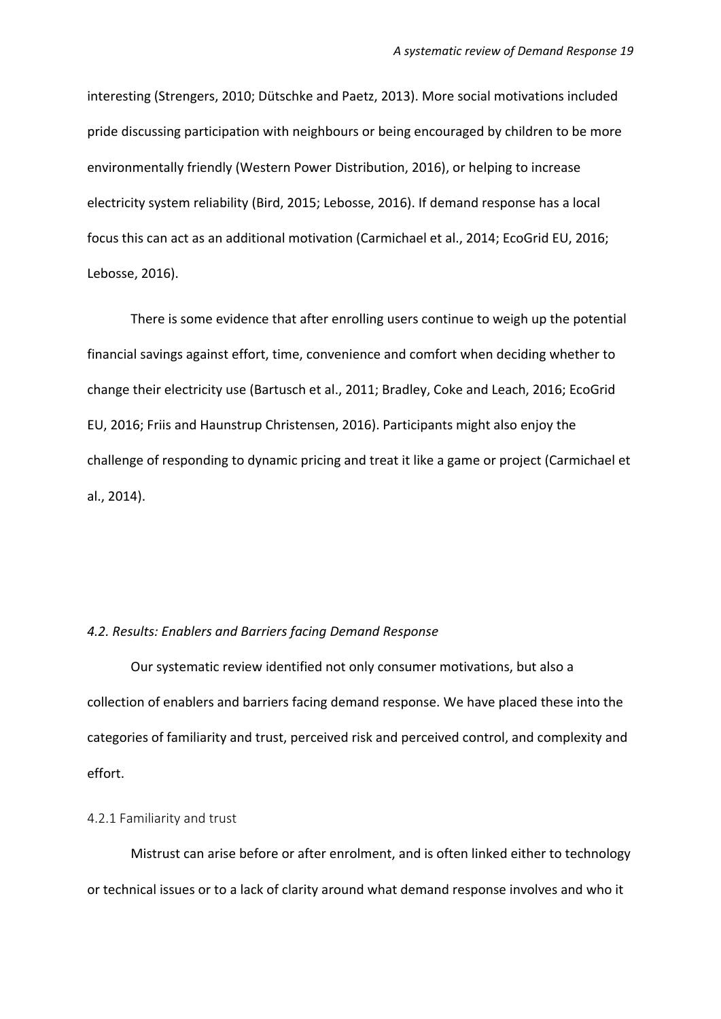interesting (Strengers, 2010; Dütschke and Paetz, 2013). More social motivations included pride discussing participation with neighbours or being encouraged by children to be more environmentally friendly (Western Power Distribution, 2016), or helping to increase electricity system reliability (Bird, 2015; Lebosse, 2016). If demand response has a local focus this can act as an additional motivation (Carmichael et al., 2014; EcoGrid EU, 2016; Lebosse, 2016).

There is some evidence that after enrolling users continue to weigh up the potential financial savings against effort, time, convenience and comfort when deciding whether to change their electricity use (Bartusch et al., 2011; Bradley, Coke and Leach, 2016; EcoGrid EU, 2016; Friis and Haunstrup Christensen, 2016). Participants might also enjoy the challenge of responding to dynamic pricing and treat it like a game or project (Carmichael et al., 2014).

#### *4.2. Results: Enablers and Barriers facing Demand Response*

Our systematic review identified not only consumer motivations, but also a collection of enablers and barriers facing demand response. We have placed these into the categories of familiarity and trust, perceived risk and perceived control, and complexity and effort.

#### 4.2.1 Familiarity and trust

Mistrust can arise before or after enrolment, and is often linked either to technology or technical issues or to a lack of clarity around what demand response involves and who it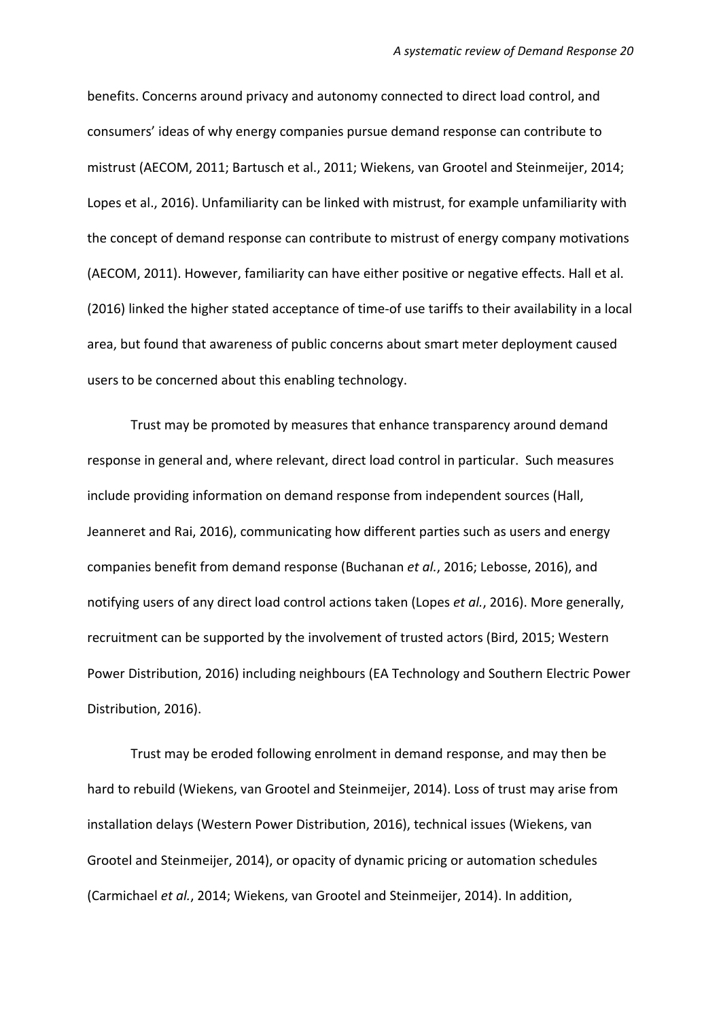benefits. Concerns around privacy and autonomy connected to direct load control, and consumers' ideas of why energy companies pursue demand response can contribute to mistrust (AECOM, 2011; Bartusch et al., 2011; Wiekens, van Grootel and Steinmeijer, 2014; Lopes et al., 2016). Unfamiliarity can be linked with mistrust, for example unfamiliarity with the concept of demand response can contribute to mistrust of energy company motivations (AECOM, 2011). However, familiarity can have either positive or negative effects. Hall et al. (2016) linked the higher stated acceptance of time-of use tariffs to their availability in a local area, but found that awareness of public concerns about smart meter deployment caused users to be concerned about this enabling technology.

Trust may be promoted by measures that enhance transparency around demand response in general and, where relevant, direct load control in particular. Such measures include providing information on demand response from independent sources (Hall, Jeanneret and Rai, 2016), communicating how different parties such as users and energy companies benefit from demand response (Buchanan *et al.*, 2016; Lebosse, 2016), and notifying users of any direct load control actions taken (Lopes *et al.*, 2016). More generally, recruitment can be supported by the involvement of trusted actors (Bird, 2015; Western Power Distribution, 2016) including neighbours (EA Technology and Southern Electric Power Distribution, 2016).

Trust may be eroded following enrolment in demand response, and may then be hard to rebuild (Wiekens, van Grootel and Steinmeijer, 2014). Loss of trust may arise from installation delays (Western Power Distribution, 2016), technical issues (Wiekens, van Grootel and Steinmeijer, 2014), or opacity of dynamic pricing or automation schedules (Carmichael *et al.*, 2014; Wiekens, van Grootel and Steinmeijer, 2014). In addition,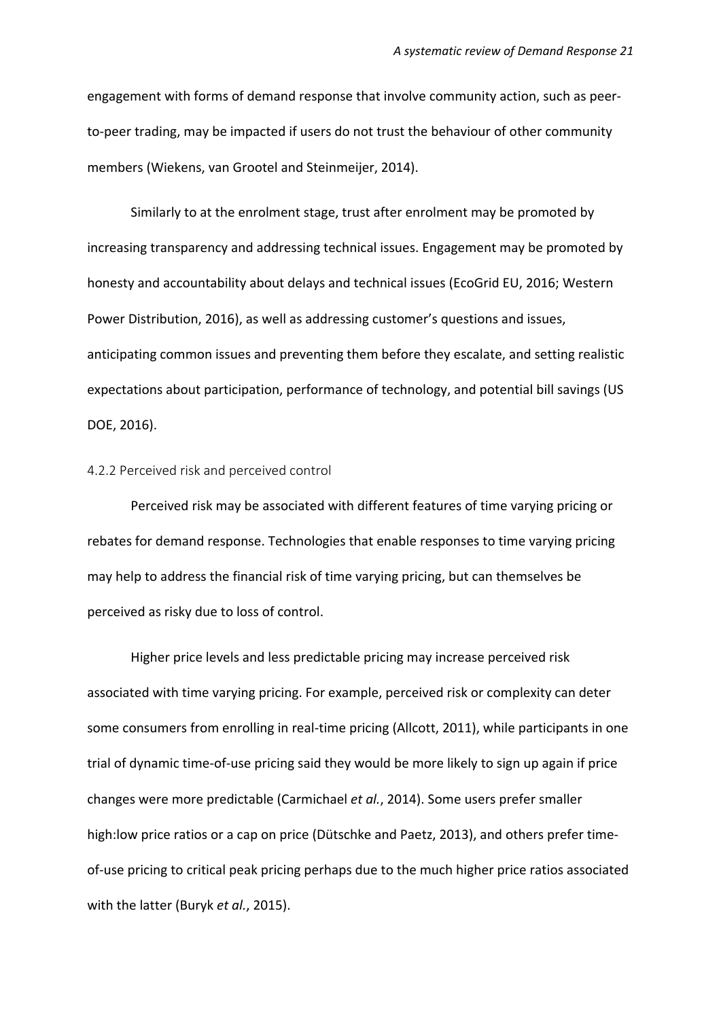engagement with forms of demand response that involve community action, such as peerto-peer trading, may be impacted if users do not trust the behaviour of other community members (Wiekens, van Grootel and Steinmeijer, 2014).

Similarly to at the enrolment stage, trust after enrolment may be promoted by increasing transparency and addressing technical issues. Engagement may be promoted by honesty and accountability about delays and technical issues (EcoGrid EU, 2016; Western Power Distribution, 2016), as well as addressing customer's questions and issues, anticipating common issues and preventing them before they escalate, and setting realistic expectations about participation, performance of technology, and potential bill savings (US DOE, 2016).

#### 4.2.2 Perceived risk and perceived control

Perceived risk may be associated with different features of time varying pricing or rebates for demand response. Technologies that enable responses to time varying pricing may help to address the financial risk of time varying pricing, but can themselves be perceived as risky due to loss of control.

Higher price levels and less predictable pricing may increase perceived risk associated with time varying pricing. For example, perceived risk or complexity can deter some consumers from enrolling in real-time pricing (Allcott, 2011), while participants in one trial of dynamic time-of-use pricing said they would be more likely to sign up again if price changes were more predictable (Carmichael *et al.*, 2014). Some users prefer smaller high:low price ratios or a cap on price (Dütschke and Paetz, 2013), and others prefer timeof-use pricing to critical peak pricing perhaps due to the much higher price ratios associated with the latter (Buryk *et al.*, 2015).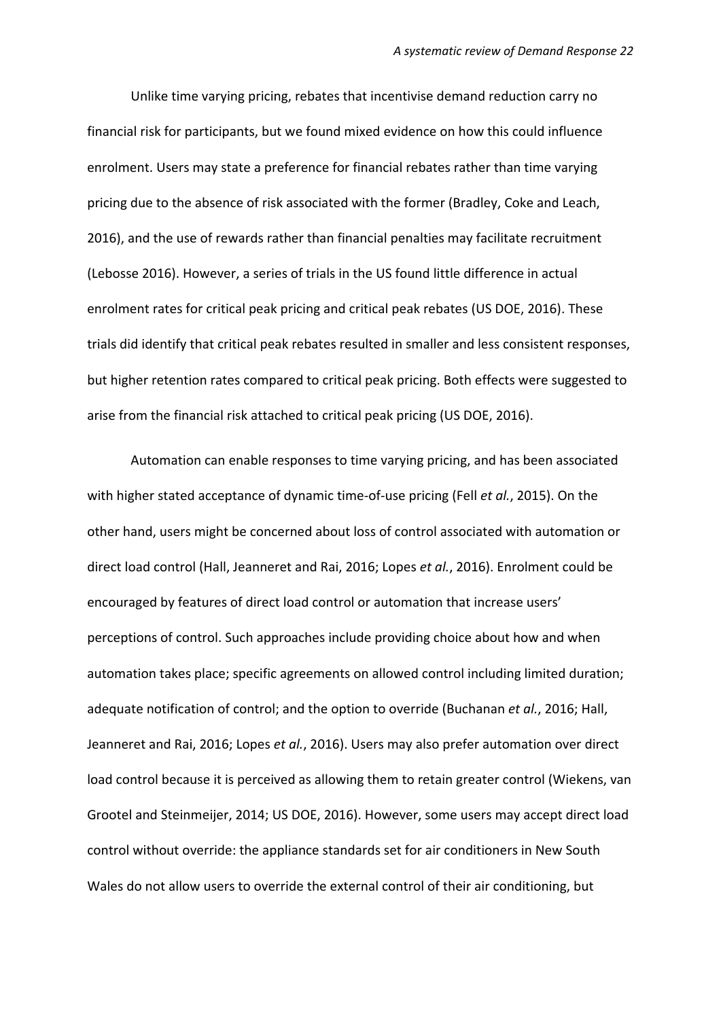Unlike time varying pricing, rebates that incentivise demand reduction carry no financial risk for participants, but we found mixed evidence on how this could influence enrolment. Users may state a preference for financial rebates rather than time varying pricing due to the absence of risk associated with the former (Bradley, Coke and Leach, 2016), and the use of rewards rather than financial penalties may facilitate recruitment (Lebosse 2016). However, a series of trials in the US found little difference in actual enrolment rates for critical peak pricing and critical peak rebates (US DOE, 2016). These trials did identify that critical peak rebates resulted in smaller and less consistent responses, but higher retention rates compared to critical peak pricing. Both effects were suggested to arise from the financial risk attached to critical peak pricing (US DOE, 2016).

Automation can enable responses to time varying pricing, and has been associated with higher stated acceptance of dynamic time-of-use pricing (Fell *et al.*, 2015). On the other hand, users might be concerned about loss of control associated with automation or direct load control (Hall, Jeanneret and Rai, 2016; Lopes *et al.*, 2016). Enrolment could be encouraged by features of direct load control or automation that increase users' perceptions of control. Such approaches include providing choice about how and when automation takes place; specific agreements on allowed control including limited duration; adequate notification of control; and the option to override (Buchanan *et al.*, 2016; Hall, Jeanneret and Rai, 2016; Lopes *et al.*, 2016). Users may also prefer automation over direct load control because it is perceived as allowing them to retain greater control (Wiekens, van Grootel and Steinmeijer, 2014; US DOE, 2016). However, some users may accept direct load control without override: the appliance standards set for air conditioners in New South Wales do not allow users to override the external control of their air conditioning, but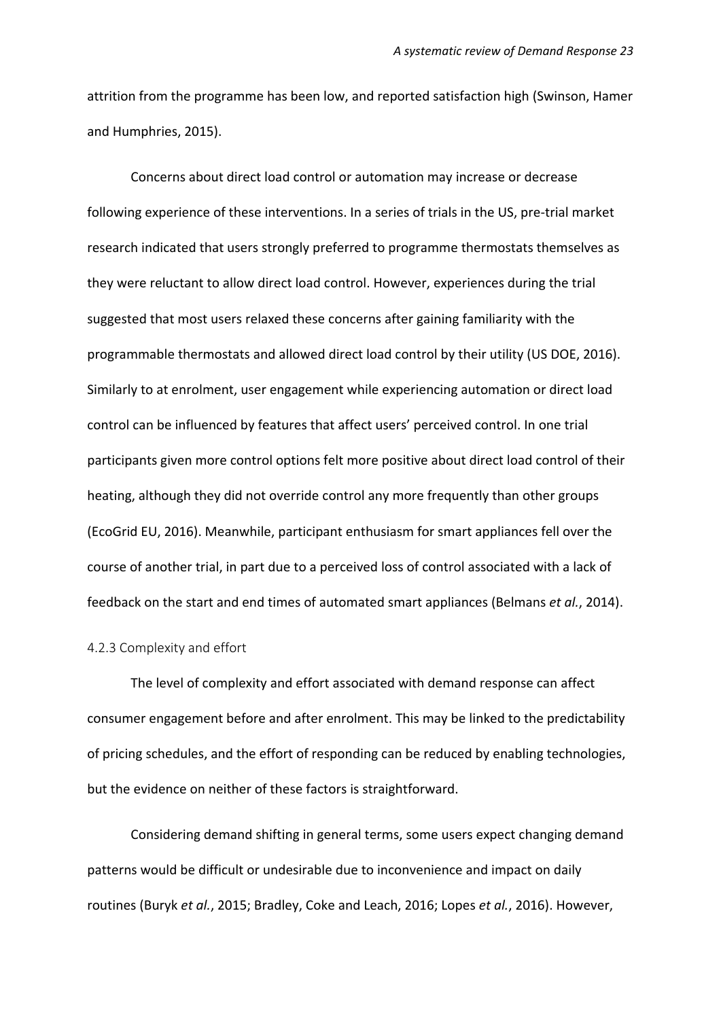attrition from the programme has been low, and reported satisfaction high (Swinson, Hamer and Humphries, 2015).

Concerns about direct load control or automation may increase or decrease following experience of these interventions. In a series of trials in the US, pre-trial market research indicated that users strongly preferred to programme thermostats themselves as they were reluctant to allow direct load control. However, experiences during the trial suggested that most users relaxed these concerns after gaining familiarity with the programmable thermostats and allowed direct load control by their utility (US DOE, 2016). Similarly to at enrolment, user engagement while experiencing automation or direct load control can be influenced by features that affect users' perceived control. In one trial participants given more control options felt more positive about direct load control of their heating, although they did not override control any more frequently than other groups (EcoGrid EU, 2016). Meanwhile, participant enthusiasm for smart appliances fell over the course of another trial, in part due to a perceived loss of control associated with a lack of feedback on the start and end times of automated smart appliances (Belmans *et al.*, 2014).

#### 4.2.3 Complexity and effort

The level of complexity and effort associated with demand response can affect consumer engagement before and after enrolment. This may be linked to the predictability of pricing schedules, and the effort of responding can be reduced by enabling technologies, but the evidence on neither of these factors is straightforward.

Considering demand shifting in general terms, some users expect changing demand patterns would be difficult or undesirable due to inconvenience and impact on daily routines (Buryk *et al.*, 2015; Bradley, Coke and Leach, 2016; Lopes *et al.*, 2016). However,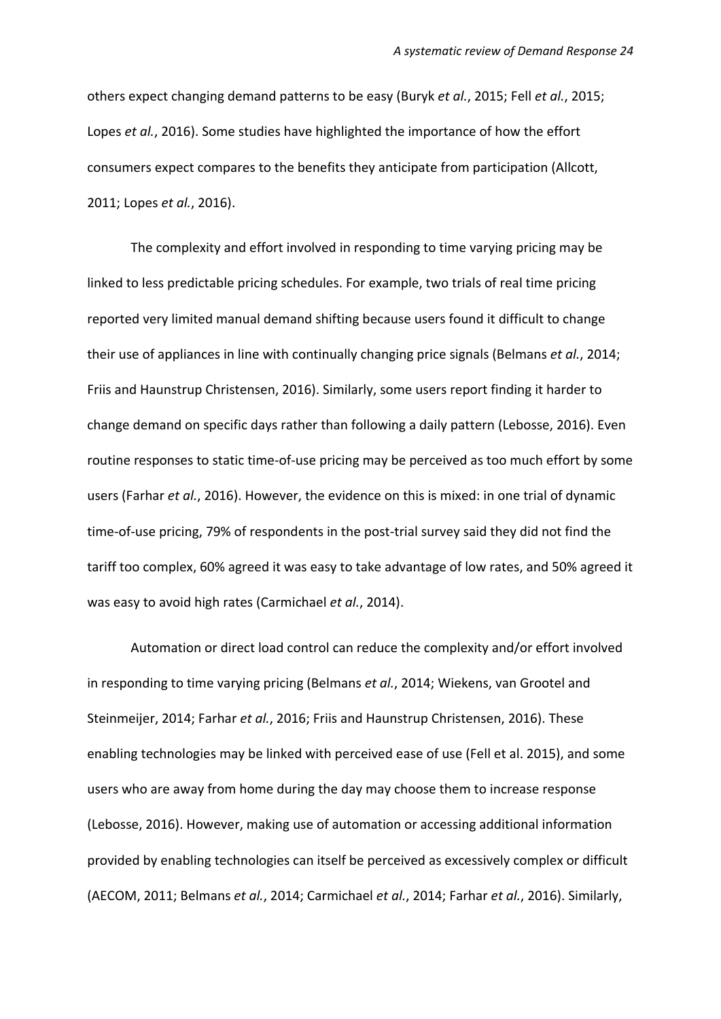others expect changing demand patterns to be easy (Buryk *et al.*, 2015; Fell *et al.*, 2015; Lopes *et al.*, 2016). Some studies have highlighted the importance of how the effort consumers expect compares to the benefits they anticipate from participation (Allcott, 2011; Lopes *et al.*, 2016).

The complexity and effort involved in responding to time varying pricing may be linked to less predictable pricing schedules. For example, two trials of real time pricing reported very limited manual demand shifting because users found it difficult to change their use of appliances in line with continually changing price signals (Belmans *et al.*, 2014; Friis and Haunstrup Christensen, 2016). Similarly, some users report finding it harder to change demand on specific days rather than following a daily pattern (Lebosse, 2016). Even routine responses to static time-of-use pricing may be perceived as too much effort by some users (Farhar *et al.*, 2016). However, the evidence on this is mixed: in one trial of dynamic time-of-use pricing, 79% of respondents in the post-trial survey said they did not find the tariff too complex, 60% agreed it was easy to take advantage of low rates, and 50% agreed it was easy to avoid high rates (Carmichael *et al.*, 2014).

Automation or direct load control can reduce the complexity and/or effort involved in responding to time varying pricing (Belmans *et al.*, 2014; Wiekens, van Grootel and Steinmeijer, 2014; Farhar *et al.*, 2016; Friis and Haunstrup Christensen, 2016). These enabling technologies may be linked with perceived ease of use (Fell et al. 2015), and some users who are away from home during the day may choose them to increase response (Lebosse, 2016). However, making use of automation or accessing additional information provided by enabling technologies can itself be perceived as excessively complex or difficult (AECOM, 2011; Belmans *et al.*, 2014; Carmichael *et al.*, 2014; Farhar *et al.*, 2016). Similarly,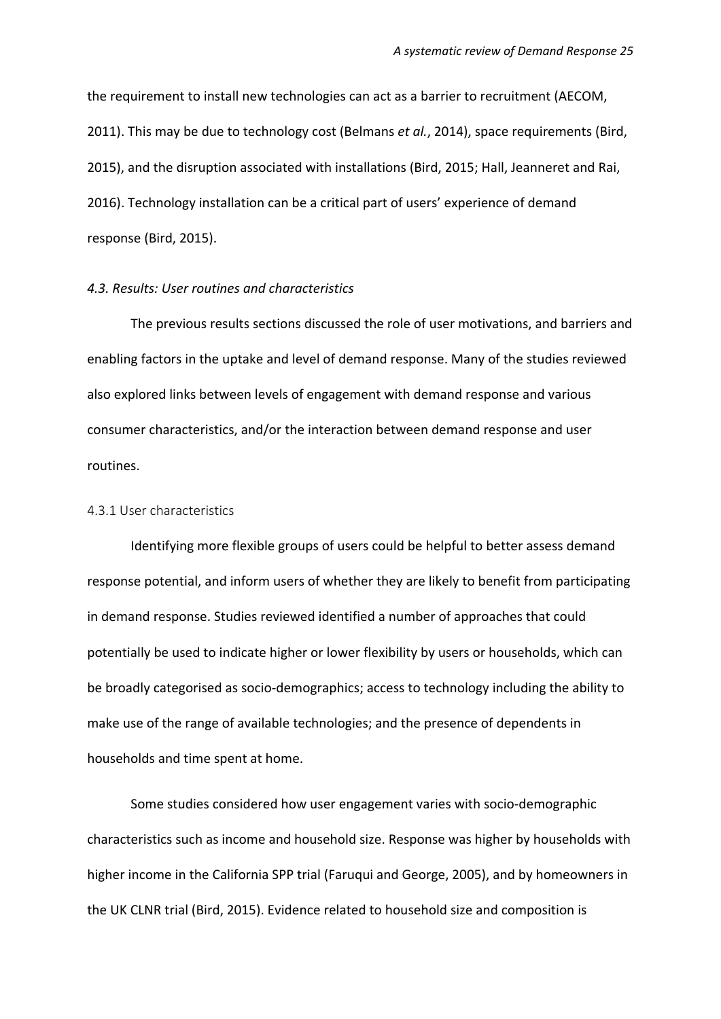the requirement to install new technologies can act as a barrier to recruitment (AECOM, 2011). This may be due to technology cost (Belmans *et al.*, 2014), space requirements (Bird, 2015), and the disruption associated with installations (Bird, 2015; Hall, Jeanneret and Rai, 2016). Technology installation can be a critical part of users' experience of demand response (Bird, 2015).

#### *4.3. Results: User routines and characteristics*

The previous results sections discussed the role of user motivations, and barriers and enabling factors in the uptake and level of demand response. Many of the studies reviewed also explored links between levels of engagement with demand response and various consumer characteristics, and/or the interaction between demand response and user routines.

#### 4.3.1 User characteristics

Identifying more flexible groups of users could be helpful to better assess demand response potential, and inform users of whether they are likely to benefit from participating in demand response. Studies reviewed identified a number of approaches that could potentially be used to indicate higher or lower flexibility by users or households, which can be broadly categorised as socio-demographics; access to technology including the ability to make use of the range of available technologies; and the presence of dependents in households and time spent at home.

Some studies considered how user engagement varies with socio-demographic characteristics such as income and household size. Response was higher by households with higher income in the California SPP trial (Faruqui and George, 2005), and by homeowners in the UK CLNR trial (Bird, 2015). Evidence related to household size and composition is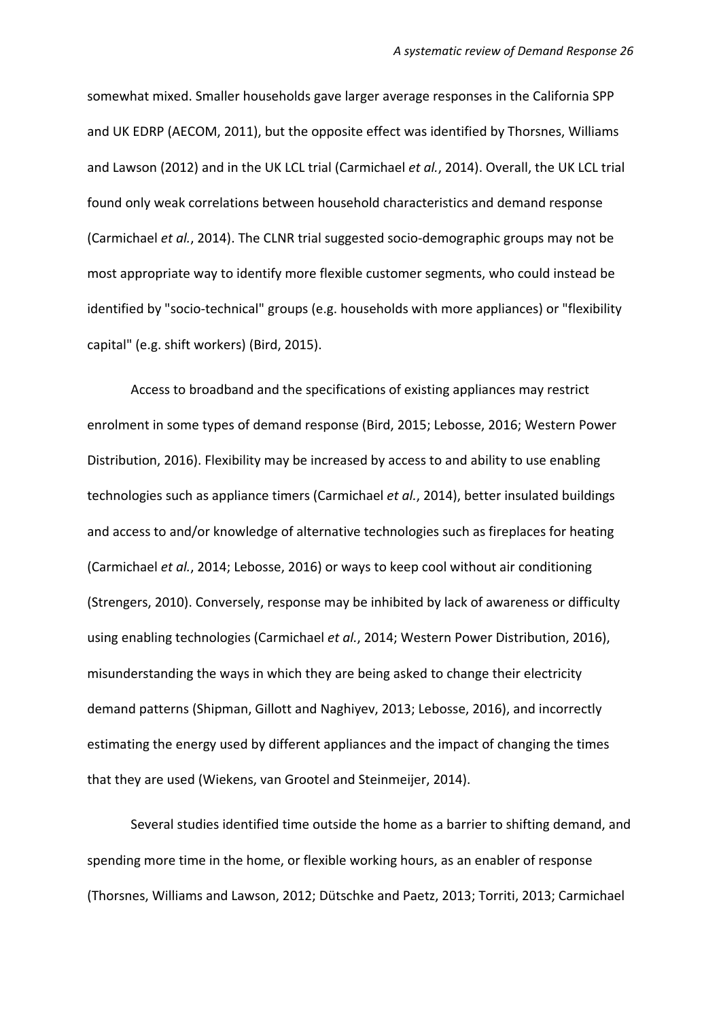somewhat mixed. Smaller households gave larger average responses in the California SPP and UK EDRP (AECOM, 2011), but the opposite effect was identified by Thorsnes, Williams and Lawson (2012) and in the UK LCL trial (Carmichael *et al.*, 2014). Overall, the UK LCL trial found only weak correlations between household characteristics and demand response (Carmichael *et al.*, 2014). The CLNR trial suggested socio-demographic groups may not be most appropriate way to identify more flexible customer segments, who could instead be identified by "socio-technical" groups (e.g. households with more appliances) or "flexibility capital" (e.g. shift workers) (Bird, 2015).

Access to broadband and the specifications of existing appliances may restrict enrolment in some types of demand response (Bird, 2015; Lebosse, 2016; Western Power Distribution, 2016). Flexibility may be increased by access to and ability to use enabling technologies such as appliance timers (Carmichael *et al.*, 2014), better insulated buildings and access to and/or knowledge of alternative technologies such as fireplaces for heating (Carmichael *et al.*, 2014; Lebosse, 2016) or ways to keep cool without air conditioning (Strengers, 2010). Conversely, response may be inhibited by lack of awareness or difficulty using enabling technologies (Carmichael *et al.*, 2014; Western Power Distribution, 2016), misunderstanding the ways in which they are being asked to change their electricity demand patterns (Shipman, Gillott and Naghiyev, 2013; Lebosse, 2016), and incorrectly estimating the energy used by different appliances and the impact of changing the times that they are used (Wiekens, van Grootel and Steinmeijer, 2014).

Several studies identified time outside the home as a barrier to shifting demand, and spending more time in the home, or flexible working hours, as an enabler of response (Thorsnes, Williams and Lawson, 2012; Dütschke and Paetz, 2013; Torriti, 2013; Carmichael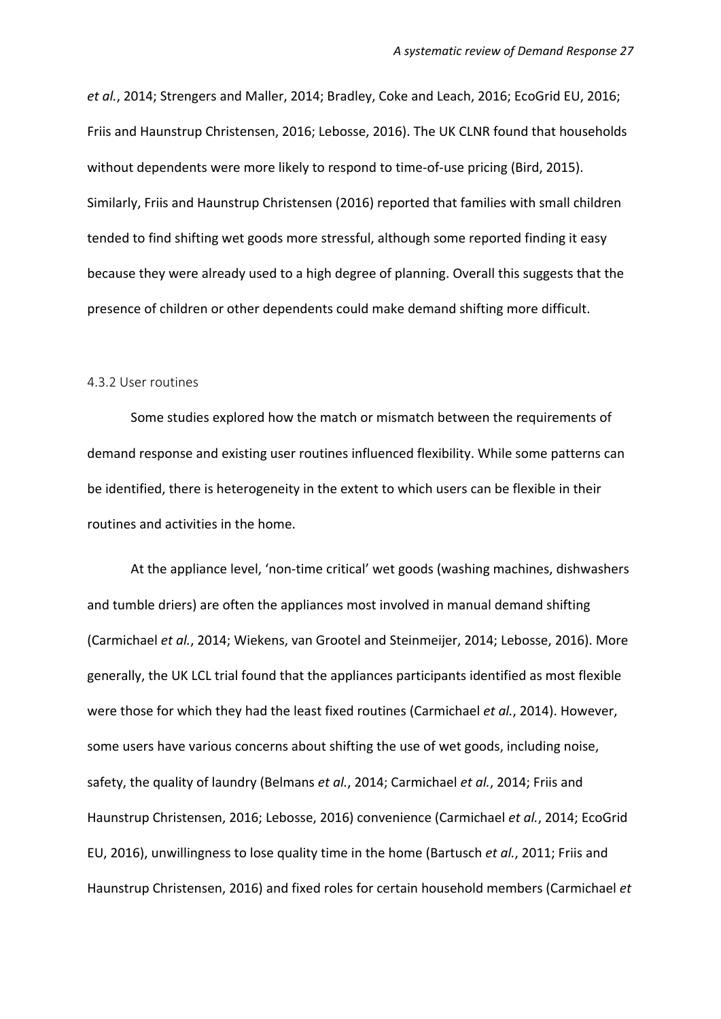*et al.*, 2014; Strengers and Maller, 2014; Bradley, Coke and Leach, 2016; EcoGrid EU, 2016; Friis and Haunstrup Christensen, 2016; Lebosse, 2016). The UK CLNR found that households without dependents were more likely to respond to time-of-use pricing (Bird, 2015). Similarly, Friis and Haunstrup Christensen (2016) reported that families with small children tended to find shifting wet goods more stressful, although some reported finding it easy because they were already used to a high degree of planning. Overall this suggests that the presence of children or other dependents could make demand shifting more difficult.

#### 4.3.2 User routines

Some studies explored how the match or mismatch between the requirements of demand response and existing user routines influenced flexibility. While some patterns can be identified, there is heterogeneity in the extent to which users can be flexible in their routines and activities in the home.

At the appliance level, 'non-time critical' wet goods (washing machines, dishwashers and tumble driers) are often the appliances most involved in manual demand shifting (Carmichael *et al.*, 2014; Wiekens, van Grootel and Steinmeijer, 2014; Lebosse, 2016). More generally, the UK LCL trial found that the appliances participants identified as most flexible were those for which they had the least fixed routines (Carmichael *et al.*, 2014). However, some users have various concerns about shifting the use of wet goods, including noise, safety, the quality of laundry (Belmans *et al.*, 2014; Carmichael *et al.*, 2014; Friis and Haunstrup Christensen, 2016; Lebosse, 2016) convenience (Carmichael *et al.*, 2014; EcoGrid EU, 2016), unwillingness to lose quality time in the home (Bartusch *et al.*, 2011; Friis and Haunstrup Christensen, 2016) and fixed roles for certain household members (Carmichael *et*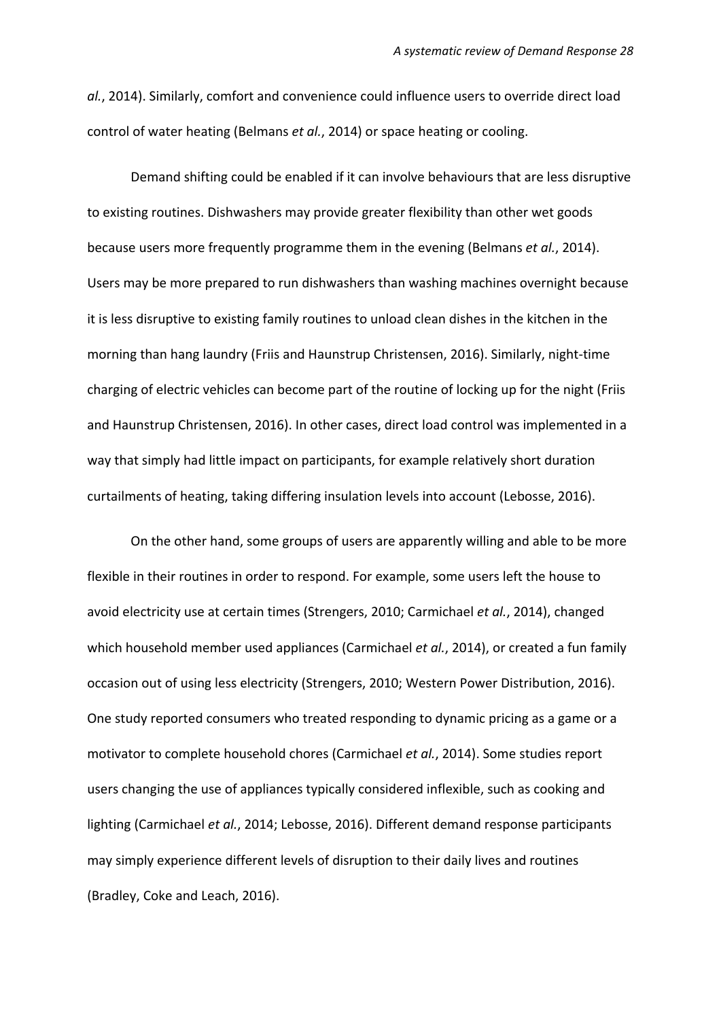*al.*, 2014). Similarly, comfort and convenience could influence users to override direct load control of water heating (Belmans *et al.*, 2014) or space heating or cooling.

Demand shifting could be enabled if it can involve behaviours that are less disruptive to existing routines. Dishwashers may provide greater flexibility than other wet goods because users more frequently programme them in the evening (Belmans *et al.*, 2014). Users may be more prepared to run dishwashers than washing machines overnight because it is less disruptive to existing family routines to unload clean dishes in the kitchen in the morning than hang laundry (Friis and Haunstrup Christensen, 2016). Similarly, night-time charging of electric vehicles can become part of the routine of locking up for the night (Friis and Haunstrup Christensen, 2016). In other cases, direct load control was implemented in a way that simply had little impact on participants, for example relatively short duration curtailments of heating, taking differing insulation levels into account (Lebosse, 2016).

On the other hand, some groups of users are apparently willing and able to be more flexible in their routines in order to respond. For example, some users left the house to avoid electricity use at certain times (Strengers, 2010; Carmichael *et al.*, 2014), changed which household member used appliances (Carmichael *et al.*, 2014), or created a fun family occasion out of using less electricity (Strengers, 2010; Western Power Distribution, 2016). One study reported consumers who treated responding to dynamic pricing as a game or a motivator to complete household chores (Carmichael *et al.*, 2014). Some studies report users changing the use of appliances typically considered inflexible, such as cooking and lighting (Carmichael *et al.*, 2014; Lebosse, 2016). Different demand response participants may simply experience different levels of disruption to their daily lives and routines (Bradley, Coke and Leach, 2016).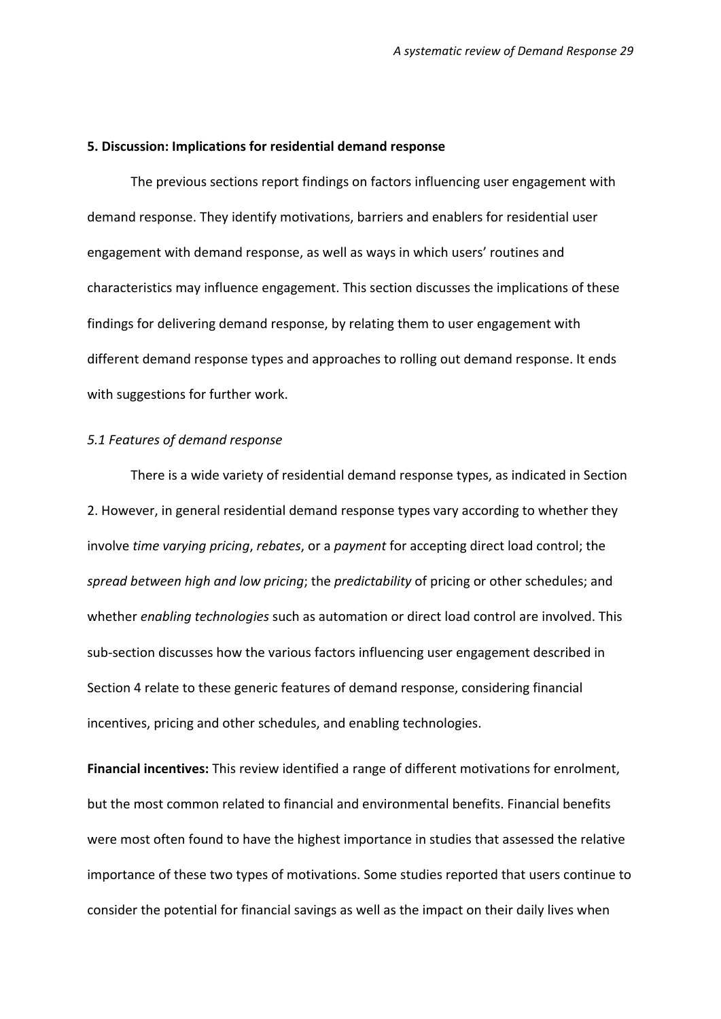#### **5. Discussion: Implications for residential demand response**

The previous sections report findings on factors influencing user engagement with demand response. They identify motivations, barriers and enablers for residential user engagement with demand response, as well as ways in which users' routines and characteristics may influence engagement. This section discusses the implications of these findings for delivering demand response, by relating them to user engagement with different demand response types and approaches to rolling out demand response. It ends with suggestions for further work.

#### *5.1 Features of demand response*

There is a wide variety of residential demand response types, as indicated in Section 2. However, in general residential demand response types vary according to whether they involve *time varying pricing*, *rebates*, or a *payment* for accepting direct load control; the *spread between high and low pricing*; the *predictability* of pricing or other schedules; and whether *enabling technologies* such as automation or direct load control are involved. This sub-section discusses how the various factors influencing user engagement described in Section 4 relate to these generic features of demand response, considering financial incentives, pricing and other schedules, and enabling technologies.

**Financial incentives:** This review identified a range of different motivations for enrolment, but the most common related to financial and environmental benefits. Financial benefits were most often found to have the highest importance in studies that assessed the relative importance of these two types of motivations. Some studies reported that users continue to consider the potential for financial savings as well as the impact on their daily lives when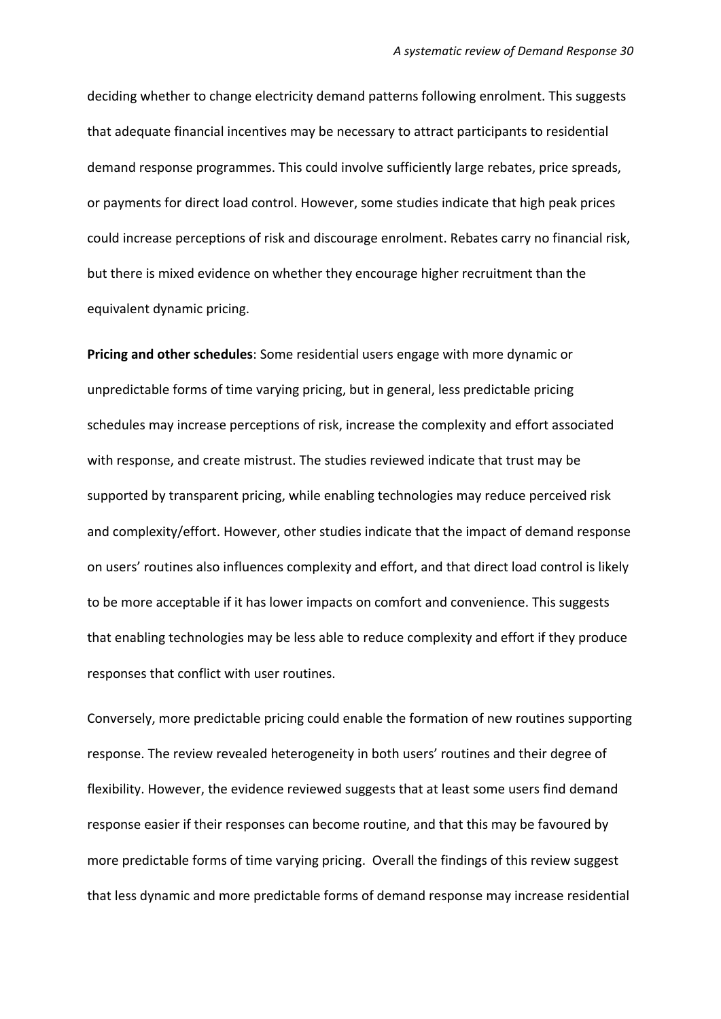deciding whether to change electricity demand patterns following enrolment. This suggests that adequate financial incentives may be necessary to attract participants to residential demand response programmes. This could involve sufficiently large rebates, price spreads, or payments for direct load control. However, some studies indicate that high peak prices could increase perceptions of risk and discourage enrolment. Rebates carry no financial risk, but there is mixed evidence on whether they encourage higher recruitment than the equivalent dynamic pricing.

**Pricing and other schedules**: Some residential users engage with more dynamic or unpredictable forms of time varying pricing, but in general, less predictable pricing schedules may increase perceptions of risk, increase the complexity and effort associated with response, and create mistrust. The studies reviewed indicate that trust may be supported by transparent pricing, while enabling technologies may reduce perceived risk and complexity/effort. However, other studies indicate that the impact of demand response on users' routines also influences complexity and effort, and that direct load control is likely to be more acceptable if it has lower impacts on comfort and convenience. This suggests that enabling technologies may be less able to reduce complexity and effort if they produce responses that conflict with user routines.

Conversely, more predictable pricing could enable the formation of new routines supporting response. The review revealed heterogeneity in both users' routines and their degree of flexibility. However, the evidence reviewed suggests that at least some users find demand response easier if their responses can become routine, and that this may be favoured by more predictable forms of time varying pricing. Overall the findings of this review suggest that less dynamic and more predictable forms of demand response may increase residential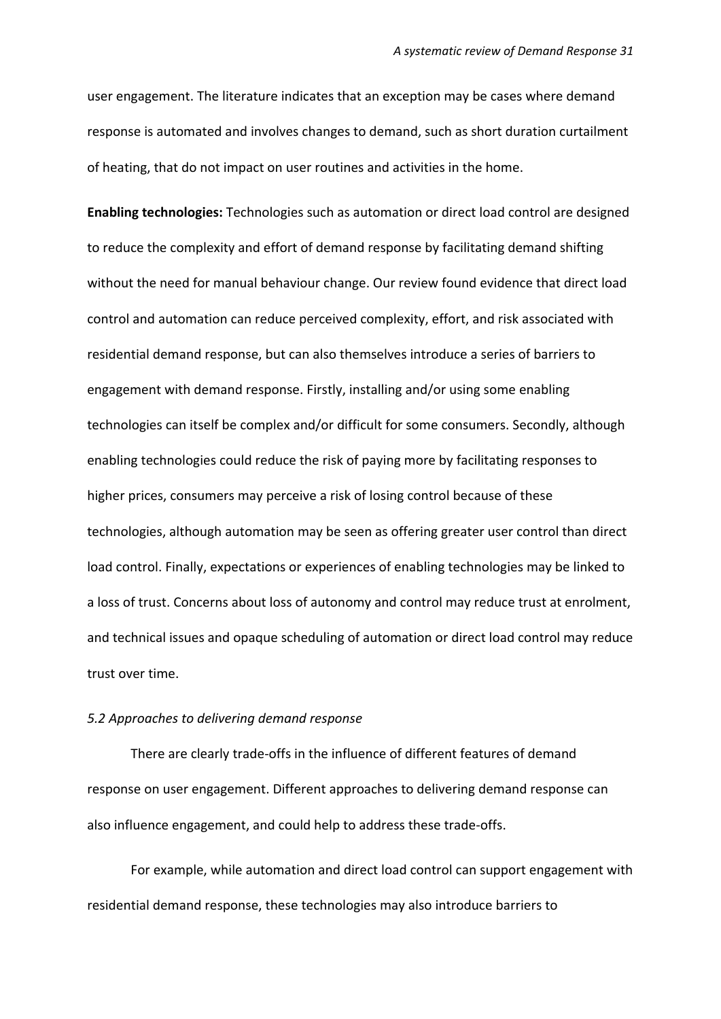user engagement. The literature indicates that an exception may be cases where demand response is automated and involves changes to demand, such as short duration curtailment of heating, that do not impact on user routines and activities in the home.

**Enabling technologies:** Technologies such as automation or direct load control are designed to reduce the complexity and effort of demand response by facilitating demand shifting without the need for manual behaviour change. Our review found evidence that direct load control and automation can reduce perceived complexity, effort, and risk associated with residential demand response, but can also themselves introduce a series of barriers to engagement with demand response. Firstly, installing and/or using some enabling technologies can itself be complex and/or difficult for some consumers. Secondly, although enabling technologies could reduce the risk of paying more by facilitating responses to higher prices, consumers may perceive a risk of losing control because of these technologies, although automation may be seen as offering greater user control than direct load control. Finally, expectations or experiences of enabling technologies may be linked to a loss of trust. Concerns about loss of autonomy and control may reduce trust at enrolment, and technical issues and opaque scheduling of automation or direct load control may reduce trust over time.

#### *5.2 Approaches to delivering demand response*

There are clearly trade-offs in the influence of different features of demand response on user engagement. Different approaches to delivering demand response can also influence engagement, and could help to address these trade-offs.

For example, while automation and direct load control can support engagement with residential demand response, these technologies may also introduce barriers to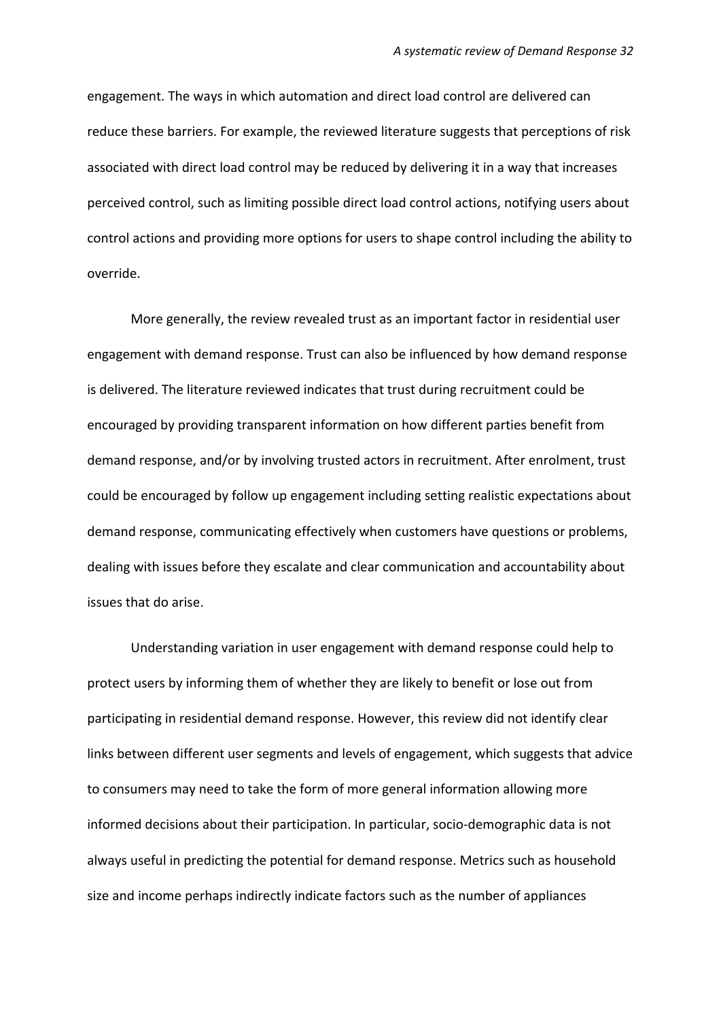engagement. The ways in which automation and direct load control are delivered can reduce these barriers. For example, the reviewed literature suggests that perceptions of risk associated with direct load control may be reduced by delivering it in a way that increases perceived control, such as limiting possible direct load control actions, notifying users about control actions and providing more options for users to shape control including the ability to override.

More generally, the review revealed trust as an important factor in residential user engagement with demand response. Trust can also be influenced by how demand response is delivered. The literature reviewed indicates that trust during recruitment could be encouraged by providing transparent information on how different parties benefit from demand response, and/or by involving trusted actors in recruitment. After enrolment, trust could be encouraged by follow up engagement including setting realistic expectations about demand response, communicating effectively when customers have questions or problems, dealing with issues before they escalate and clear communication and accountability about issues that do arise.

Understanding variation in user engagement with demand response could help to protect users by informing them of whether they are likely to benefit or lose out from participating in residential demand response. However, this review did not identify clear links between different user segments and levels of engagement, which suggests that advice to consumers may need to take the form of more general information allowing more informed decisions about their participation. In particular, socio-demographic data is not always useful in predicting the potential for demand response. Metrics such as household size and income perhaps indirectly indicate factors such as the number of appliances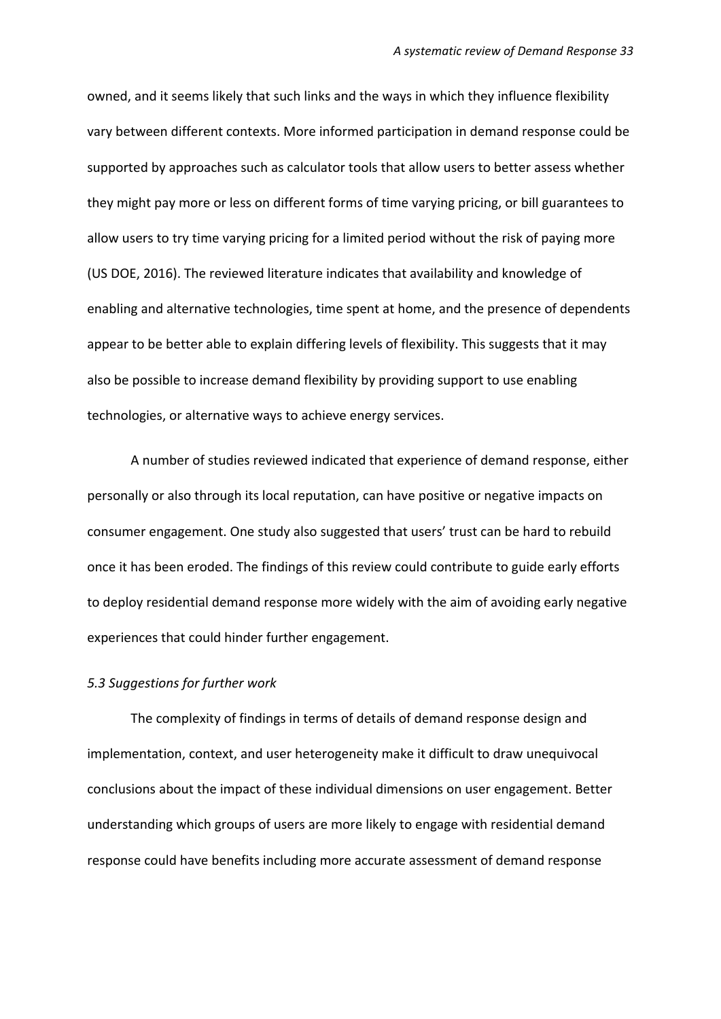owned, and it seems likely that such links and the ways in which they influence flexibility vary between different contexts. More informed participation in demand response could be supported by approaches such as calculator tools that allow users to better assess whether they might pay more or less on different forms of time varying pricing, or bill guarantees to allow users to try time varying pricing for a limited period without the risk of paying more (US DOE, 2016). The reviewed literature indicates that availability and knowledge of enabling and alternative technologies, time spent at home, and the presence of dependents appear to be better able to explain differing levels of flexibility. This suggests that it may also be possible to increase demand flexibility by providing support to use enabling technologies, or alternative ways to achieve energy services.

A number of studies reviewed indicated that experience of demand response, either personally or also through its local reputation, can have positive or negative impacts on consumer engagement. One study also suggested that users' trust can be hard to rebuild once it has been eroded. The findings of this review could contribute to guide early efforts to deploy residential demand response more widely with the aim of avoiding early negative experiences that could hinder further engagement.

#### *5.3 Suggestions for further work*

The complexity of findings in terms of details of demand response design and implementation, context, and user heterogeneity make it difficult to draw unequivocal conclusions about the impact of these individual dimensions on user engagement. Better understanding which groups of users are more likely to engage with residential demand response could have benefits including more accurate assessment of demand response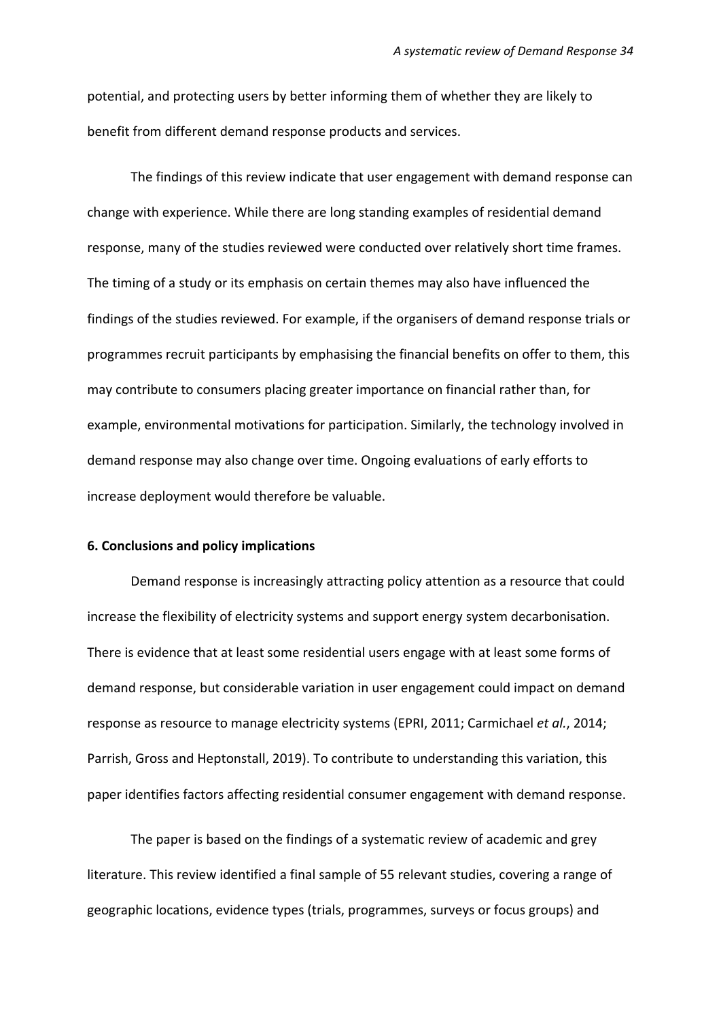potential, and protecting users by better informing them of whether they are likely to benefit from different demand response products and services.

The findings of this review indicate that user engagement with demand response can change with experience. While there are long standing examples of residential demand response, many of the studies reviewed were conducted over relatively short time frames. The timing of a study or its emphasis on certain themes may also have influenced the findings of the studies reviewed. For example, if the organisers of demand response trials or programmes recruit participants by emphasising the financial benefits on offer to them, this may contribute to consumers placing greater importance on financial rather than, for example, environmental motivations for participation. Similarly, the technology involved in demand response may also change over time. Ongoing evaluations of early efforts to increase deployment would therefore be valuable.

#### **6. Conclusions and policy implications**

Demand response is increasingly attracting policy attention as a resource that could increase the flexibility of electricity systems and support energy system decarbonisation. There is evidence that at least some residential users engage with at least some forms of demand response, but considerable variation in user engagement could impact on demand response as resource to manage electricity systems (EPRI, 2011; Carmichael *et al.*, 2014; Parrish, Gross and Heptonstall, 2019). To contribute to understanding this variation, this paper identifies factors affecting residential consumer engagement with demand response.

The paper is based on the findings of a systematic review of academic and grey literature. This review identified a final sample of 55 relevant studies, covering a range of geographic locations, evidence types (trials, programmes, surveys or focus groups) and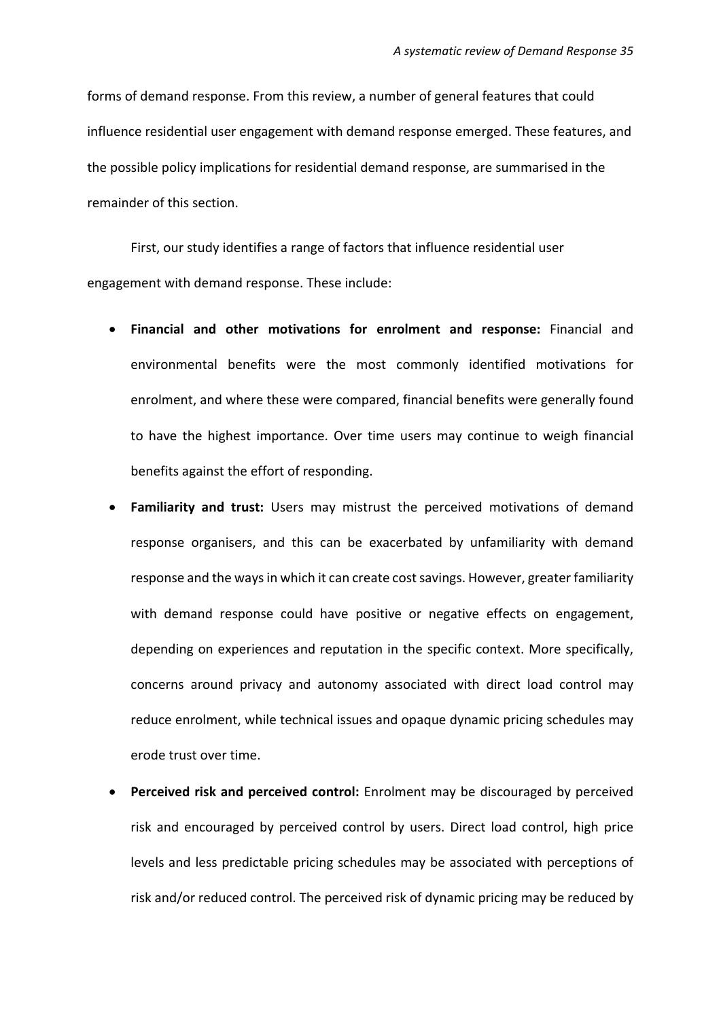forms of demand response. From this review, a number of general features that could influence residential user engagement with demand response emerged. These features, and the possible policy implications for residential demand response, are summarised in the remainder of this section.

First, our study identifies a range of factors that influence residential user engagement with demand response. These include:

- **Financial and other motivations for enrolment and response:** Financial and environmental benefits were the most commonly identified motivations for enrolment, and where these were compared, financial benefits were generally found to have the highest importance. Over time users may continue to weigh financial benefits against the effort of responding.
- **Familiarity and trust:** Users may mistrust the perceived motivations of demand response organisers, and this can be exacerbated by unfamiliarity with demand response and the ways in which it can create cost savings. However, greater familiarity with demand response could have positive or negative effects on engagement, depending on experiences and reputation in the specific context. More specifically, concerns around privacy and autonomy associated with direct load control may reduce enrolment, while technical issues and opaque dynamic pricing schedules may erode trust over time.
- **Perceived risk and perceived control:** Enrolment may be discouraged by perceived risk and encouraged by perceived control by users. Direct load control, high price levels and less predictable pricing schedules may be associated with perceptions of risk and/or reduced control. The perceived risk of dynamic pricing may be reduced by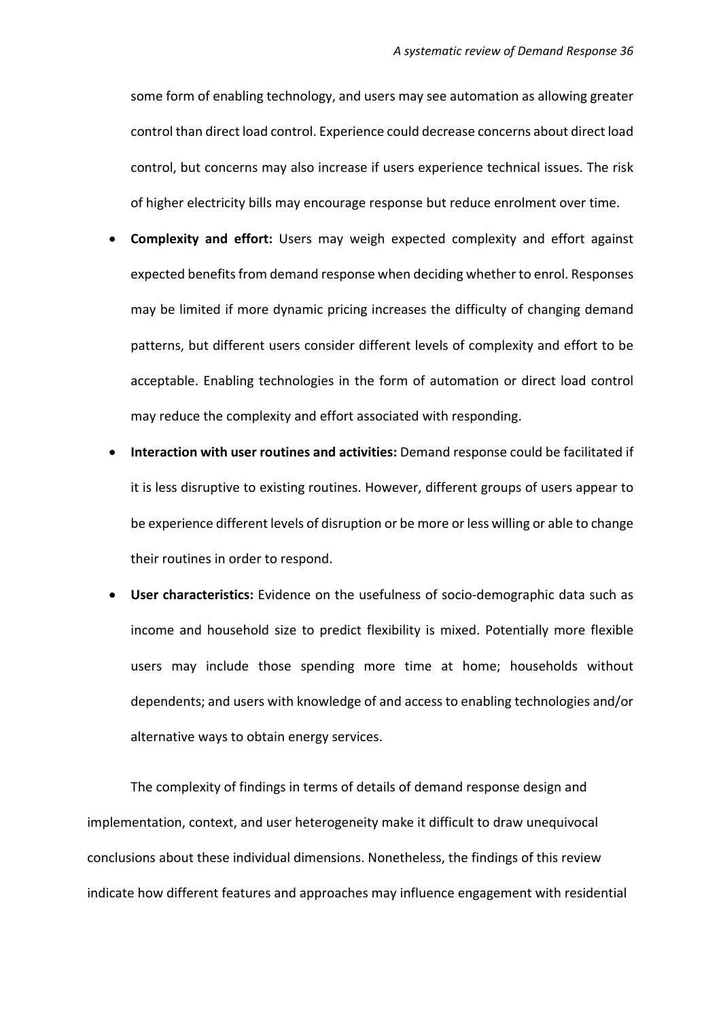some form of enabling technology, and users may see automation as allowing greater control than direct load control. Experience could decrease concerns about direct load control, but concerns may also increase if users experience technical issues. The risk of higher electricity bills may encourage response but reduce enrolment over time.

- **Complexity and effort:** Users may weigh expected complexity and effort against expected benefits from demand response when deciding whether to enrol. Responses may be limited if more dynamic pricing increases the difficulty of changing demand patterns, but different users consider different levels of complexity and effort to be acceptable. Enabling technologies in the form of automation or direct load control may reduce the complexity and effort associated with responding.
- **Interaction with user routines and activities:** Demand response could be facilitated if it is less disruptive to existing routines. However, different groups of users appear to be experience different levels of disruption or be more or less willing or able to change their routines in order to respond.
- **User characteristics:** Evidence on the usefulness of socio-demographic data such as income and household size to predict flexibility is mixed. Potentially more flexible users may include those spending more time at home; households without dependents; and users with knowledge of and access to enabling technologies and/or alternative ways to obtain energy services.

The complexity of findings in terms of details of demand response design and implementation, context, and user heterogeneity make it difficult to draw unequivocal conclusions about these individual dimensions. Nonetheless, the findings of this review indicate how different features and approaches may influence engagement with residential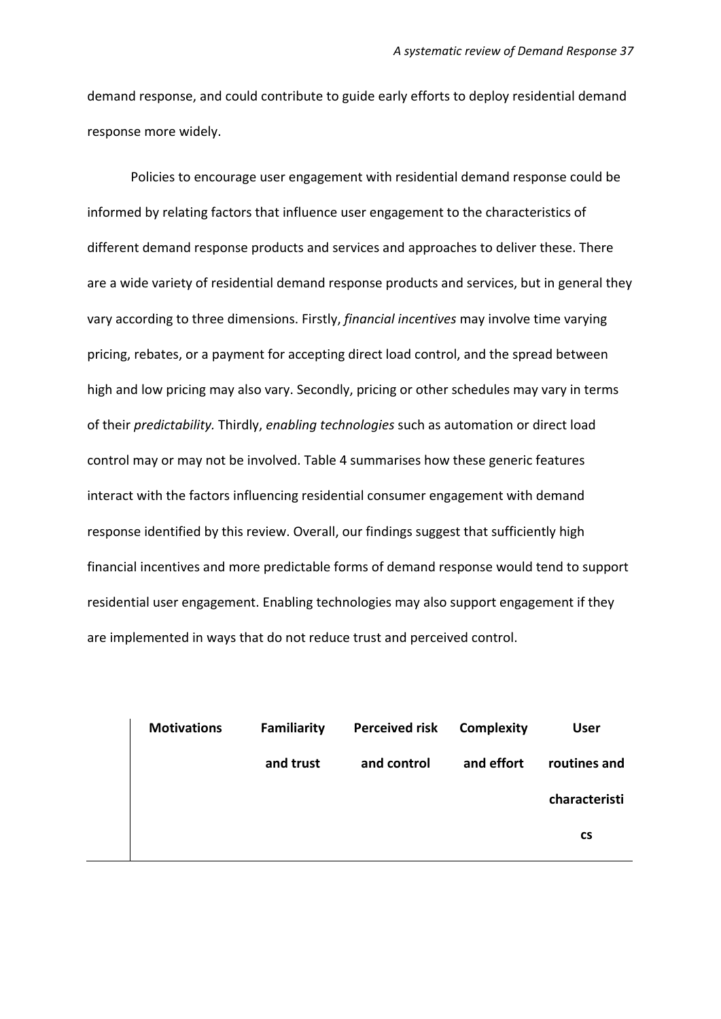demand response, and could contribute to guide early efforts to deploy residential demand response more widely.

Policies to encourage user engagement with residential demand response could be informed by relating factors that influence user engagement to the characteristics of different demand response products and services and approaches to deliver these. There are a wide variety of residential demand response products and services, but in general they vary according to three dimensions. Firstly, *financial incentives* may involve time varying pricing, rebates, or a payment for accepting direct load control, and the spread between high and low pricing may also vary. Secondly, pricing or other schedules may vary in terms of their *predictability.* Thirdly, *enabling technologies* such as automation or direct load control may or may not be involved. Table 4 summarises how these generic features interact with the factors influencing residential consumer engagement with demand response identified by this review. Overall, our findings suggest that sufficiently high financial incentives and more predictable forms of demand response would tend to support residential user engagement. Enabling technologies may also support engagement if they are implemented in ways that do not reduce trust and perceived control.

| <b>User</b>   | <b>Complexity</b> | <b>Perceived risk</b> | <b>Familiarity</b> | <b>Motivations</b> |  |
|---------------|-------------------|-----------------------|--------------------|--------------------|--|
| routines and  | and effort        | and control           | and trust          |                    |  |
| characteristi |                   |                       |                    |                    |  |
| <b>CS</b>     |                   |                       |                    |                    |  |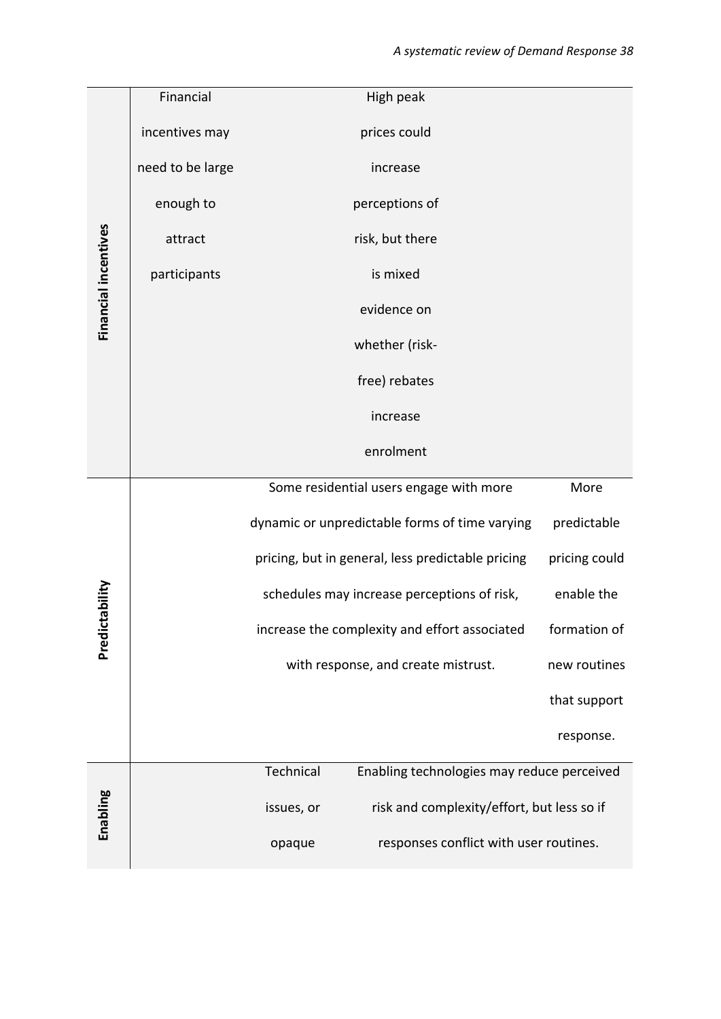|                      | Financial        | High peak                                                |               |
|----------------------|------------------|----------------------------------------------------------|---------------|
|                      | incentives may   | prices could                                             |               |
|                      | need to be large | increase                                                 |               |
|                      | enough to        | perceptions of                                           |               |
|                      | attract          | risk, but there                                          |               |
| Financial incentives | participants     | is mixed                                                 |               |
|                      |                  | evidence on                                              |               |
|                      |                  | whether (risk-                                           |               |
|                      |                  | free) rebates                                            |               |
|                      |                  | increase                                                 |               |
|                      |                  | enrolment                                                |               |
|                      |                  | Some residential users engage with more                  | More          |
|                      |                  | dynamic or unpredictable forms of time varying           | predictable   |
|                      |                  | pricing, but in general, less predictable pricing        | pricing could |
|                      |                  | schedules may increase perceptions of risk,              | enable the    |
| Predictability       |                  | increase the complexity and effort associated            | formation of  |
|                      |                  | with response, and create mistrust.                      | new routines  |
|                      |                  |                                                          | that support  |
|                      |                  |                                                          | response.     |
|                      |                  | Technical<br>Enabling technologies may reduce perceived  |               |
| Enabling             |                  | risk and complexity/effort, but less so if<br>issues, or |               |
|                      |                  | responses conflict with user routines.<br>opaque         |               |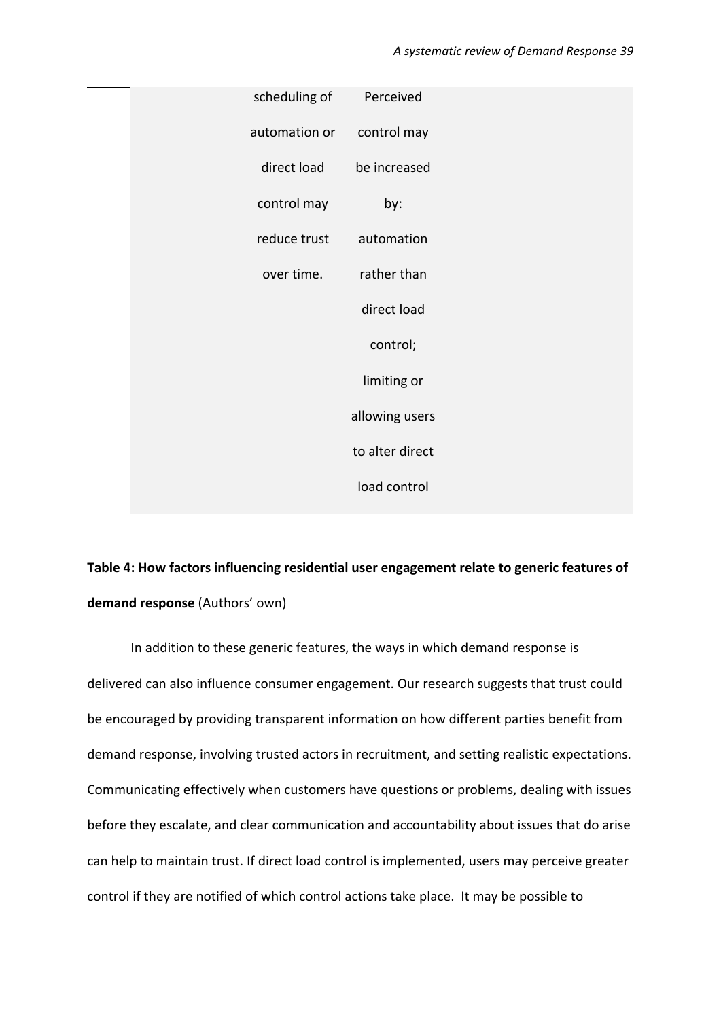| scheduling of | Perceived       |  |
|---------------|-----------------|--|
| automation or | control may     |  |
| direct load   | be increased    |  |
| control may   | by:             |  |
| reduce trust  | automation      |  |
| over time.    | rather than     |  |
|               | direct load     |  |
|               | control;        |  |
|               | limiting or     |  |
|               | allowing users  |  |
|               | to alter direct |  |
|               | load control    |  |
|               |                 |  |

# **Table 4: How factors influencing residential user engagement relate to generic features of demand response** (Authors' own)

In addition to these generic features, the ways in which demand response is delivered can also influence consumer engagement. Our research suggests that trust could be encouraged by providing transparent information on how different parties benefit from demand response, involving trusted actors in recruitment, and setting realistic expectations. Communicating effectively when customers have questions or problems, dealing with issues before they escalate, and clear communication and accountability about issues that do arise can help to maintain trust. If direct load control is implemented, users may perceive greater control if they are notified of which control actions take place. It may be possible to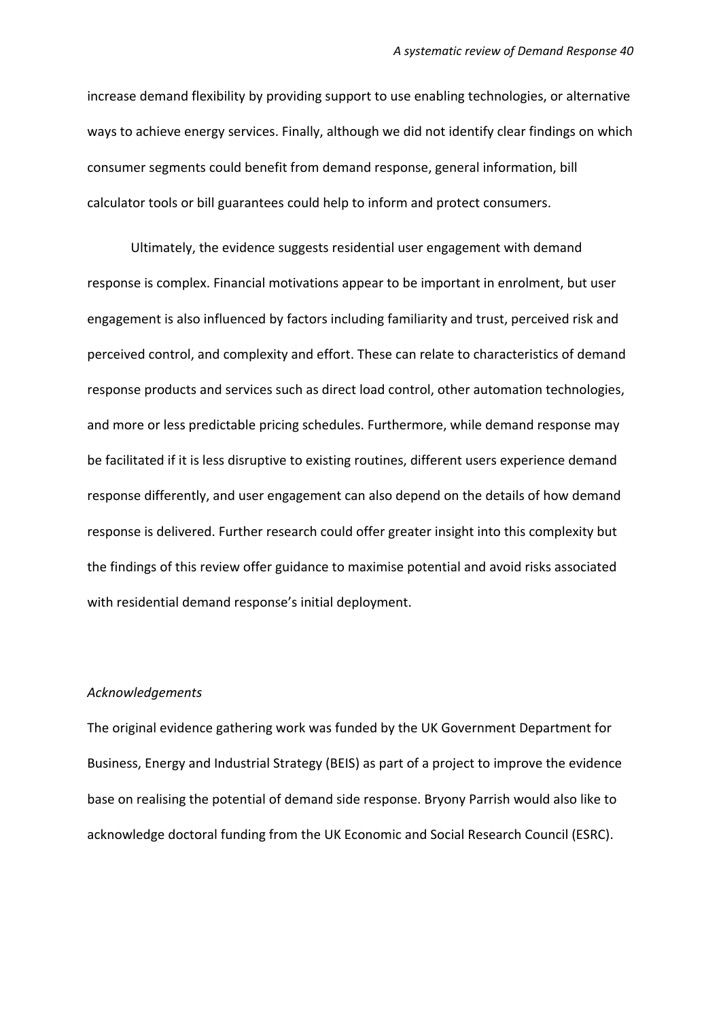increase demand flexibility by providing support to use enabling technologies, or alternative ways to achieve energy services. Finally, although we did not identify clear findings on which consumer segments could benefit from demand response, general information, bill calculator tools or bill guarantees could help to inform and protect consumers.

Ultimately, the evidence suggests residential user engagement with demand response is complex. Financial motivations appear to be important in enrolment, but user engagement is also influenced by factors including familiarity and trust, perceived risk and perceived control, and complexity and effort. These can relate to characteristics of demand response products and services such as direct load control, other automation technologies, and more or less predictable pricing schedules. Furthermore, while demand response may be facilitated if it is less disruptive to existing routines, different users experience demand response differently, and user engagement can also depend on the details of how demand response is delivered. Further research could offer greater insight into this complexity but the findings of this review offer guidance to maximise potential and avoid risks associated with residential demand response's initial deployment.

#### *Acknowledgements*

The original evidence gathering work was funded by the UK Government Department for Business, Energy and Industrial Strategy (BEIS) as part of a project to improve the evidence base on realising the potential of demand side response. Bryony Parrish would also like to acknowledge doctoral funding from the UK Economic and Social Research Council (ESRC).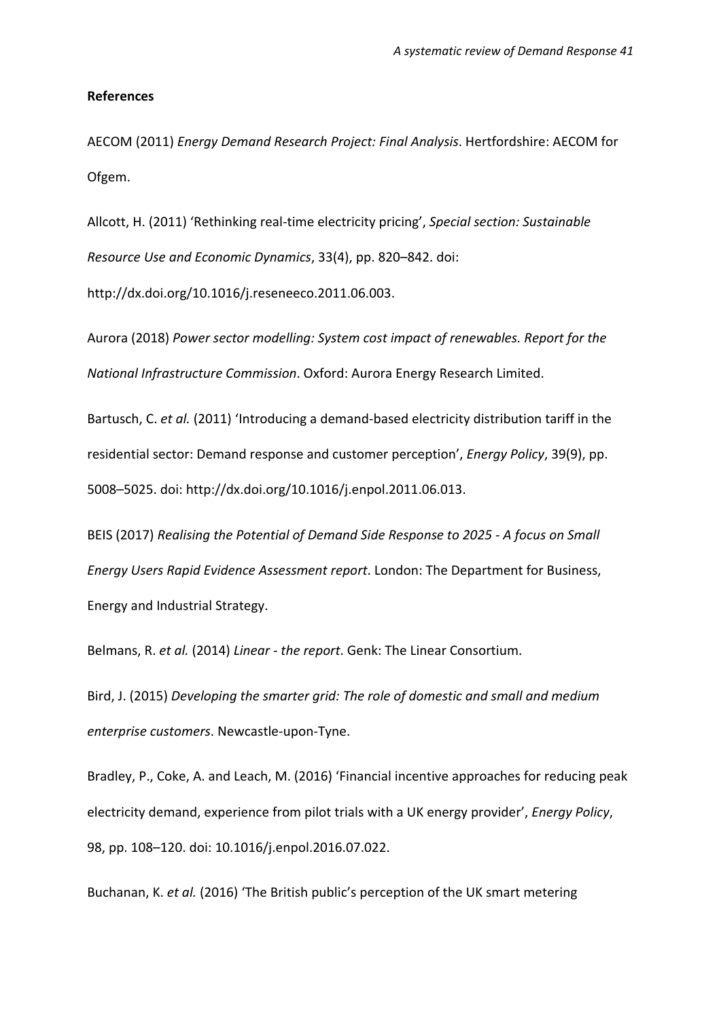#### **References**

AECOM (2011) *Energy Demand Research Project: Final Analysis*. Hertfordshire: AECOM for Ofgem.

Allcott, H. (2011) 'Rethinking real-time electricity pricing', *Special section: Sustainable Resource Use and Economic Dynamics*, 33(4), pp. 820–842. doi: http://dx.doi.org/10.1016/j.reseneeco.2011.06.003.

Aurora (2018) *Power sector modelling: System cost impact of renewables. Report for the National Infrastructure Commission*. Oxford: Aurora Energy Research Limited.

Bartusch, C. *et al.* (2011) 'Introducing a demand-based electricity distribution tariff in the residential sector: Demand response and customer perception', *Energy Policy*, 39(9), pp. 5008–5025. doi: http://dx.doi.org/10.1016/j.enpol.2011.06.013.

BEIS (2017) *Realising the Potential of Demand Side Response to 2025 - A focus on Small Energy Users Rapid Evidence Assessment report*. London: The Department for Business, Energy and Industrial Strategy.

Belmans, R. *et al.* (2014) *Linear - the report*. Genk: The Linear Consortium.

Bird, J. (2015) *Developing the smarter grid: The role of domestic and small and medium enterprise customers*. Newcastle-upon-Tyne.

Bradley, P., Coke, A. and Leach, M. (2016) 'Financial incentive approaches for reducing peak electricity demand, experience from pilot trials with a UK energy provider', *Energy Policy*, 98, pp. 108–120. doi: 10.1016/j.enpol.2016.07.022.

Buchanan, K. *et al.* (2016) 'The British public's perception of the UK smart metering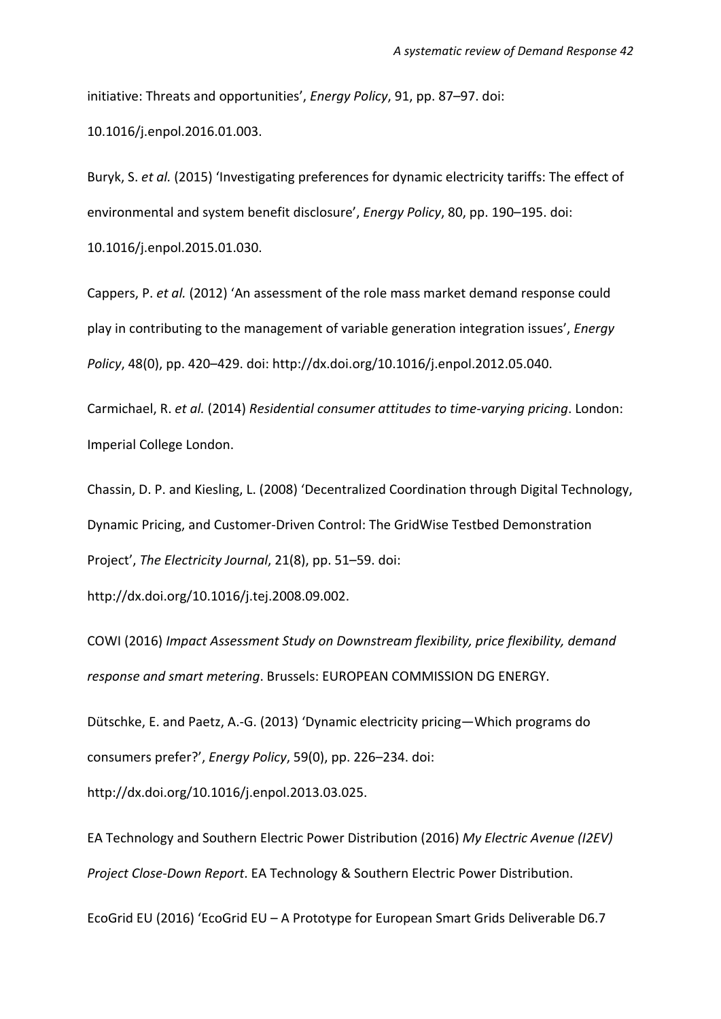initiative: Threats and opportunities', *Energy Policy*, 91, pp. 87–97. doi: 10.1016/j.enpol.2016.01.003.

Buryk, S. *et al.* (2015) 'Investigating preferences for dynamic electricity tariffs: The effect of environmental and system benefit disclosure', *Energy Policy*, 80, pp. 190–195. doi:

10.1016/j.enpol.2015.01.030.

Cappers, P. *et al.* (2012) 'An assessment of the role mass market demand response could play in contributing to the management of variable generation integration issues', *Energy Policy*, 48(0), pp. 420–429. doi: http://dx.doi.org/10.1016/j.enpol.2012.05.040.

Carmichael, R. *et al.* (2014) *Residential consumer attitudes to time-varying pricing*. London: Imperial College London.

Chassin, D. P. and Kiesling, L. (2008) 'Decentralized Coordination through Digital Technology, Dynamic Pricing, and Customer-Driven Control: The GridWise Testbed Demonstration Project', *The Electricity Journal*, 21(8), pp. 51–59. doi:

http://dx.doi.org/10.1016/j.tej.2008.09.002.

COWI (2016) *Impact Assessment Study on Downstream flexibility, price flexibility, demand response and smart metering*. Brussels: EUROPEAN COMMISSION DG ENERGY.

Dütschke, E. and Paetz, A.-G. (2013) 'Dynamic electricity pricing—Which programs do consumers prefer?', *Energy Policy*, 59(0), pp. 226–234. doi:

http://dx.doi.org/10.1016/j.enpol.2013.03.025.

EA Technology and Southern Electric Power Distribution (2016) *My Electric Avenue (I2EV) Project Close-Down Report*. EA Technology & Southern Electric Power Distribution.

EcoGrid EU (2016) 'EcoGrid EU – A Prototype for European Smart Grids Deliverable D6.7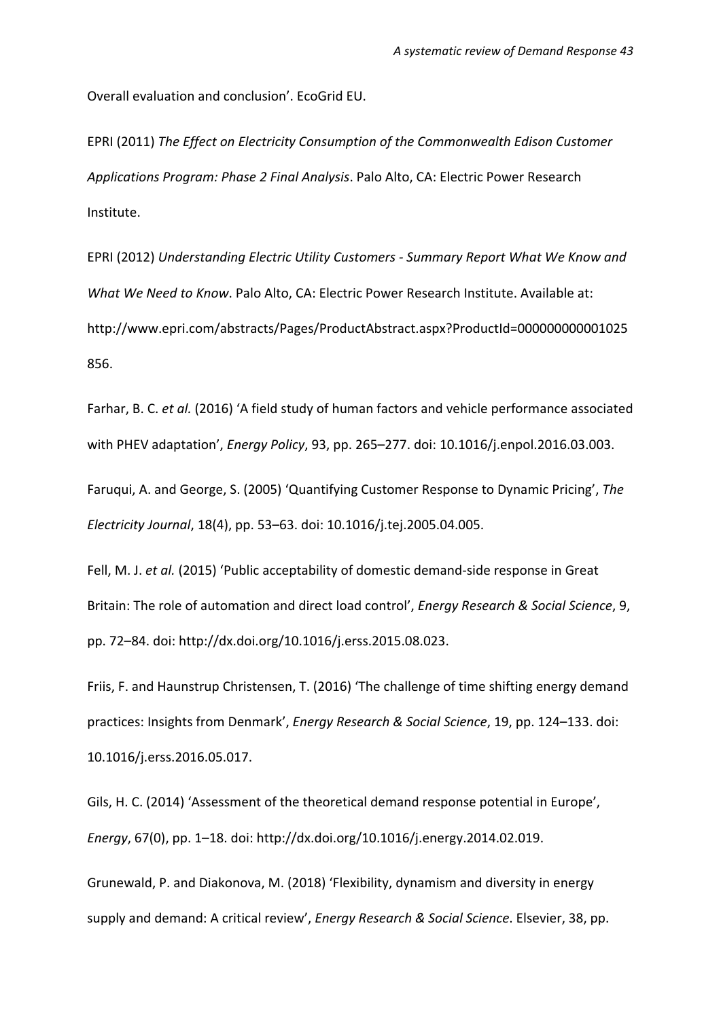Overall evaluation and conclusion'. EcoGrid EU.

EPRI (2011) *The Effect on Electricity Consumption of the Commonwealth Edison Customer Applications Program: Phase 2 Final Analysis*. Palo Alto, CA: Electric Power Research Institute.

EPRI (2012) *Understanding Electric Utility Customers - Summary Report What We Know and What We Need to Know*. Palo Alto, CA: Electric Power Research Institute. Available at: http://www.epri.com/abstracts/Pages/ProductAbstract.aspx?ProductId=000000000001025 856.

Farhar, B. C. *et al.* (2016) 'A field study of human factors and vehicle performance associated with PHEV adaptation', *Energy Policy*, 93, pp. 265–277. doi: 10.1016/j.enpol.2016.03.003.

Faruqui, A. and George, S. (2005) 'Quantifying Customer Response to Dynamic Pricing', *The Electricity Journal*, 18(4), pp. 53–63. doi: 10.1016/j.tej.2005.04.005.

Fell, M. J. *et al.* (2015) 'Public acceptability of domestic demand-side response in Great Britain: The role of automation and direct load control', *Energy Research & Social Science*, 9, pp. 72–84. doi: http://dx.doi.org/10.1016/j.erss.2015.08.023.

Friis, F. and Haunstrup Christensen, T. (2016) 'The challenge of time shifting energy demand practices: Insights from Denmark', *Energy Research & Social Science*, 19, pp. 124–133. doi: 10.1016/j.erss.2016.05.017.

Gils, H. C. (2014) 'Assessment of the theoretical demand response potential in Europe', *Energy*, 67(0), pp. 1–18. doi: http://dx.doi.org/10.1016/j.energy.2014.02.019.

Grunewald, P. and Diakonova, M. (2018) 'Flexibility, dynamism and diversity in energy supply and demand: A critical review', *Energy Research & Social Science*. Elsevier, 38, pp.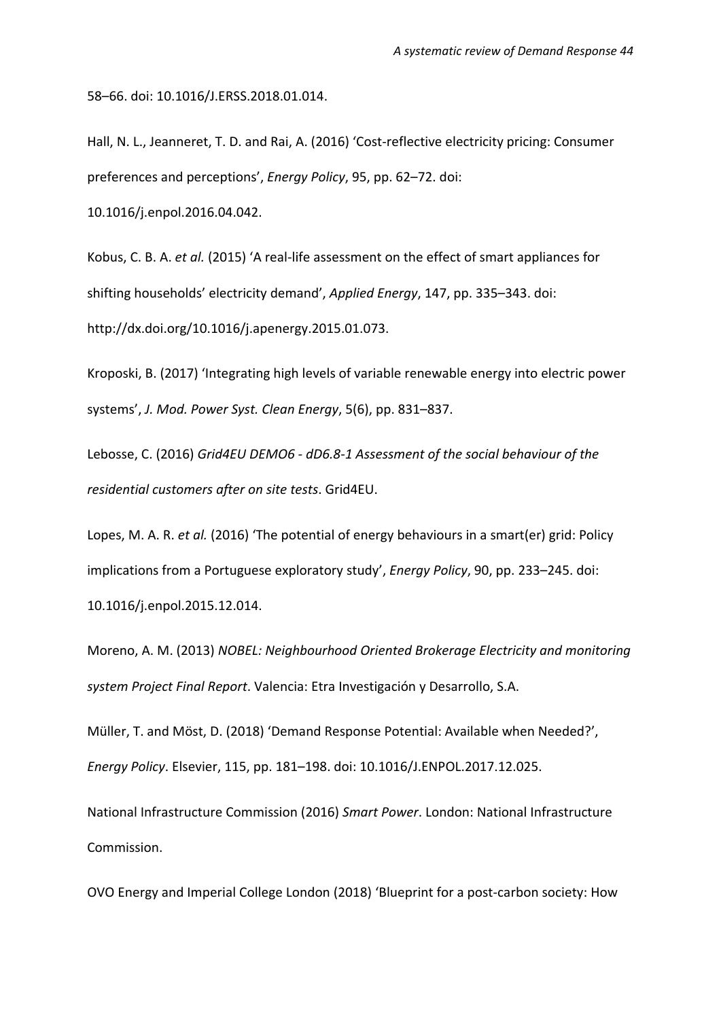58–66. doi: 10.1016/J.ERSS.2018.01.014.

Hall, N. L., Jeanneret, T. D. and Rai, A. (2016) 'Cost-reflective electricity pricing: Consumer preferences and perceptions', *Energy Policy*, 95, pp. 62–72. doi: 10.1016/j.enpol.2016.04.042.

Kobus, C. B. A. *et al.* (2015) 'A real-life assessment on the effect of smart appliances for shifting households' electricity demand', *Applied Energy*, 147, pp. 335–343. doi: http://dx.doi.org/10.1016/j.apenergy.2015.01.073.

Kroposki, B. (2017) 'Integrating high levels of variable renewable energy into electric power systems', *J. Mod. Power Syst. Clean Energy*, 5(6), pp. 831–837.

Lebosse, C. (2016) *Grid4EU DEMO6 - dD6.8-1 Assessment of the social behaviour of the residential customers after on site tests*. Grid4EU.

Lopes, M. A. R. *et al.* (2016) 'The potential of energy behaviours in a smart(er) grid: Policy implications from a Portuguese exploratory study', *Energy Policy*, 90, pp. 233–245. doi: 10.1016/j.enpol.2015.12.014.

Moreno, A. M. (2013) *NOBEL: Neighbourhood Oriented Brokerage Electricity and monitoring system Project Final Report*. Valencia: Etra Investigación y Desarrollo, S.A.

Müller, T. and Möst, D. (2018) 'Demand Response Potential: Available when Needed?', *Energy Policy*. Elsevier, 115, pp. 181–198. doi: 10.1016/J.ENPOL.2017.12.025.

National Infrastructure Commission (2016) *Smart Power*. London: National Infrastructure Commission.

OVO Energy and Imperial College London (2018) 'Blueprint for a post-carbon society: How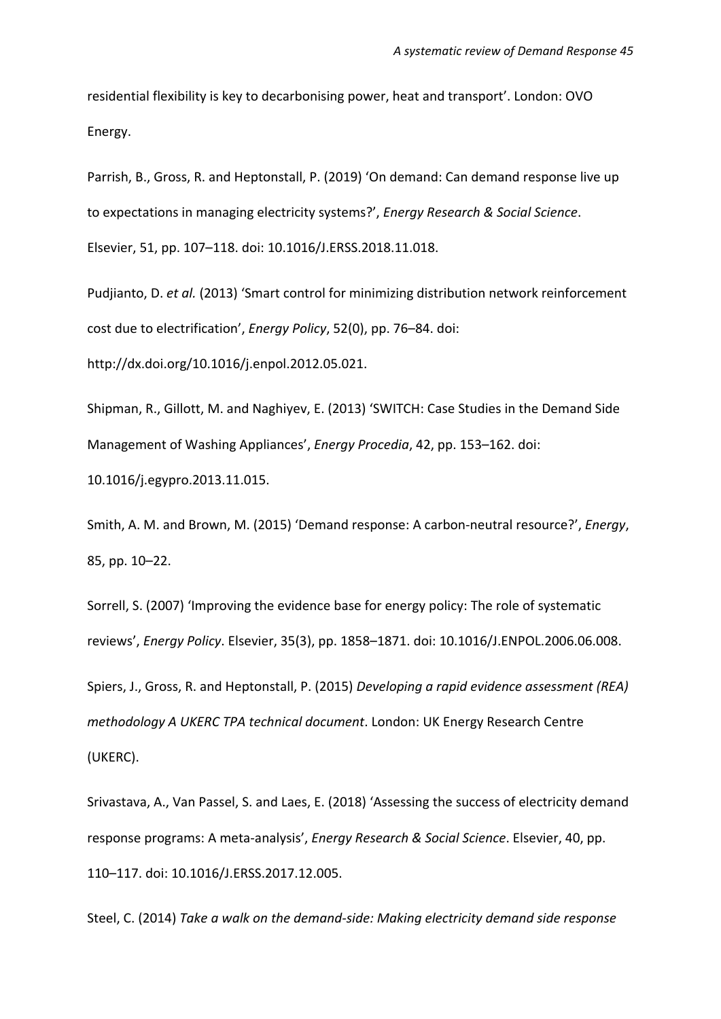residential flexibility is key to decarbonising power, heat and transport'. London: OVO Energy.

Parrish, B., Gross, R. and Heptonstall, P. (2019) 'On demand: Can demand response live up to expectations in managing electricity systems?', *Energy Research & Social Science*.

Elsevier, 51, pp. 107–118. doi: 10.1016/J.ERSS.2018.11.018.

Pudjianto, D. *et al.* (2013) 'Smart control for minimizing distribution network reinforcement cost due to electrification', *Energy Policy*, 52(0), pp. 76–84. doi: http://dx.doi.org/10.1016/j.enpol.2012.05.021.

Shipman, R., Gillott, M. and Naghiyev, E. (2013) 'SWITCH: Case Studies in the Demand Side Management of Washing Appliances', *Energy Procedia*, 42, pp. 153–162. doi:

10.1016/j.egypro.2013.11.015.

Smith, A. M. and Brown, M. (2015) 'Demand response: A carbon-neutral resource?', *Energy*, 85, pp. 10–22.

Sorrell, S. (2007) 'Improving the evidence base for energy policy: The role of systematic reviews', *Energy Policy*. Elsevier, 35(3), pp. 1858–1871. doi: 10.1016/J.ENPOL.2006.06.008. Spiers, J., Gross, R. and Heptonstall, P. (2015) *Developing a rapid evidence assessment (REA) methodology A UKERC TPA technical document*. London: UK Energy Research Centre (UKERC).

Srivastava, A., Van Passel, S. and Laes, E. (2018) 'Assessing the success of electricity demand response programs: A meta-analysis', *Energy Research & Social Science*. Elsevier, 40, pp. 110–117. doi: 10.1016/J.ERSS.2017.12.005.

Steel, C. (2014) *Take a walk on the demand-side: Making electricity demand side response*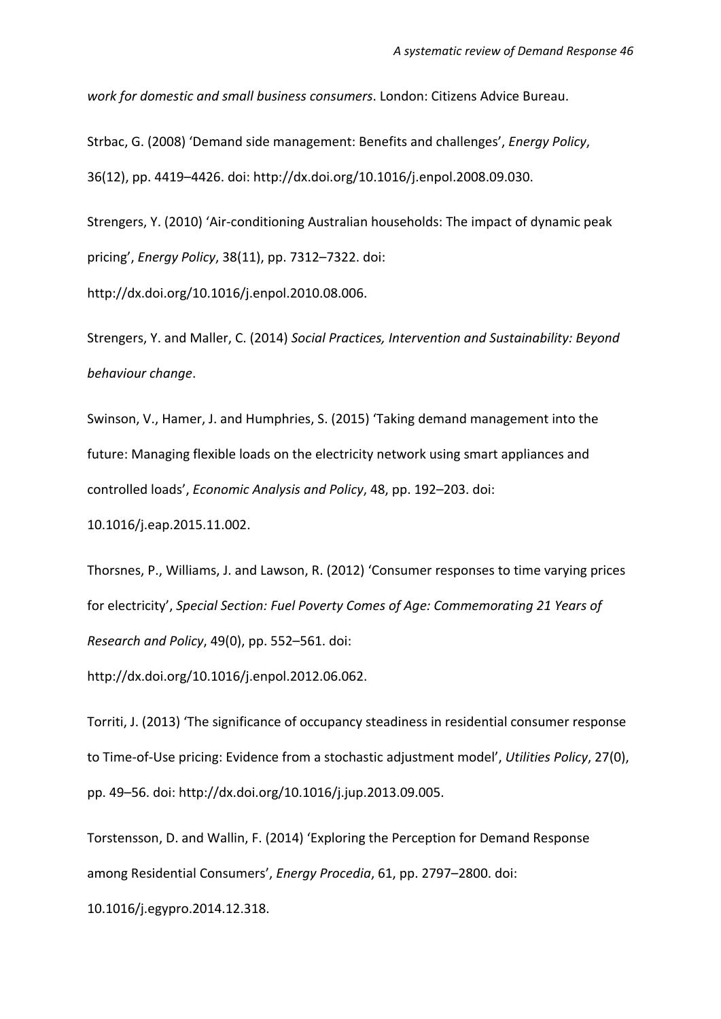*work for domestic and small business consumers*. London: Citizens Advice Bureau.

Strbac, G. (2008) 'Demand side management: Benefits and challenges', *Energy Policy*, 36(12), pp. 4419–4426. doi: http://dx.doi.org/10.1016/j.enpol.2008.09.030.

Strengers, Y. (2010) 'Air-conditioning Australian households: The impact of dynamic peak pricing', *Energy Policy*, 38(11), pp. 7312–7322. doi:

http://dx.doi.org/10.1016/j.enpol.2010.08.006.

Strengers, Y. and Maller, C. (2014) *Social Practices, Intervention and Sustainability: Beyond behaviour change*.

Swinson, V., Hamer, J. and Humphries, S. (2015) 'Taking demand management into the future: Managing flexible loads on the electricity network using smart appliances and controlled loads', *Economic Analysis and Policy*, 48, pp. 192–203. doi: 10.1016/j.eap.2015.11.002.

Thorsnes, P., Williams, J. and Lawson, R. (2012) 'Consumer responses to time varying prices for electricity', *Special Section: Fuel Poverty Comes of Age: Commemorating 21 Years of Research and Policy*, 49(0), pp. 552–561. doi:

http://dx.doi.org/10.1016/j.enpol.2012.06.062.

Torriti, J. (2013) 'The significance of occupancy steadiness in residential consumer response to Time-of-Use pricing: Evidence from a stochastic adjustment model', *Utilities Policy*, 27(0), pp. 49–56. doi: http://dx.doi.org/10.1016/j.jup.2013.09.005.

Torstensson, D. and Wallin, F. (2014) 'Exploring the Perception for Demand Response among Residential Consumers', *Energy Procedia*, 61, pp. 2797–2800. doi:

10.1016/j.egypro.2014.12.318.